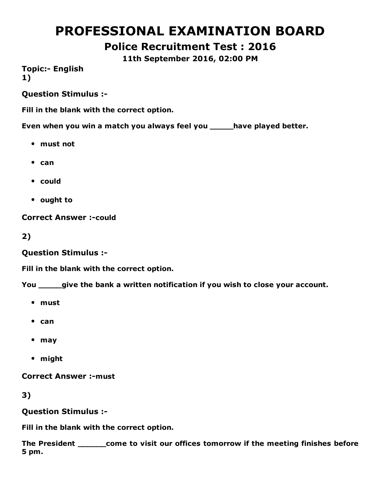# PROFESSIONAL EXAMINATION BOARD

# Police Recruitment Test : 2016

11th September 2016, 02:00 PM

**Topic:- English** 1)

Question Stimulus :

Fill in the blank with the correct option.

Even when you win a match you always feel you \_\_\_\_\_have played better.

- must not
- $•$  can
- could
- ought to

**Correct Answer :- could** 

2)

Question Stimulus :

Fill in the blank with the correct option.

You \_\_\_\_\_give the bank a written notification if you wish to close your account.

- must
- $•$  can
- may
- might

**Correct Answer :- must** 

3)

Question Stimulus :

Fill in the blank with the correct option.

The President \_\_\_\_\_\_come to visit our offices tomorrow if the meeting finishes before 5 pm.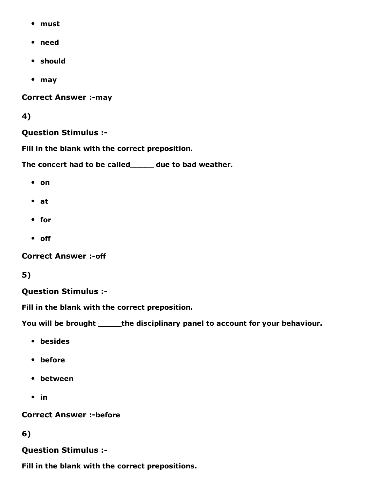- must
- need
- should
- may

**Correct Answer :- may** 

#### 4)

#### Question Stimulus :

Fill in the blank with the correct preposition.

The concert had to be called\_\_\_\_\_ due to bad weather.

- on
- at
- for
- off

**Correct Answer :- off** 

### 5)

#### Question Stimulus :

Fill in the blank with the correct preposition.

You will be brought \_\_\_\_\_the disciplinary panel to account for your behaviour.

- besides
- before
- between
- $\cdot$  in

**Correct Answer :-before** 

#### 6)

### Question Stimulus :

Fill in the blank with the correct prepositions.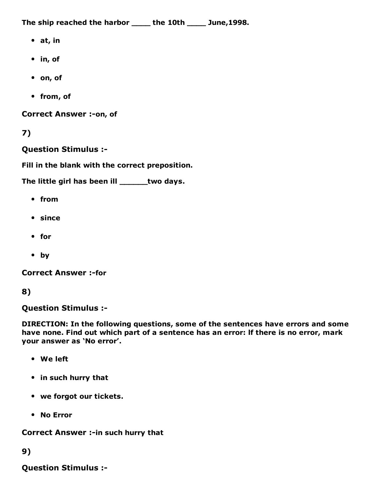The ship reached the harbor \_\_\_\_\_ the 10th \_\_\_\_\_ June,1998.

- $\bullet$  at, in
- in, of
- on, of
- from, of

Correct Answer :- on, of

```
7)
```
Question Stimulus :

Fill in the blank with the correct preposition.

The little girl has been ill \_\_\_\_\_\_two days.

- from
- since
- for
- by

**Correct Answer :-for** 

```
8)
```
Question Stimulus :

DIRECTION: In the following questions, some of the sentences have errors and some have none. Find out which part of a sentence has an error: lf there is no error, mark your answer as 'No error'.

- We left
- in such hurry that
- we forgot our tickets.
- No Error

Correct Answer :- in such hurry that

### 9)

Question Stimulus :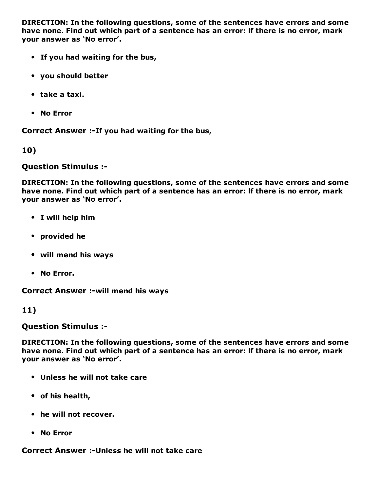DIRECTION: In the following questions, some of the sentences have errors and some have none. Find out which part of a sentence has an error: lf there is no error, mark your answer as 'No error'.

- If you had waiting for the bus,
- you should better
- take a taxi.
- No Error

Correct Answer :-If you had waiting for the bus,

10)

Question Stimulus :

DIRECTION: In the following questions, some of the sentences have errors and some have none. Find out which part of a sentence has an error: lf there is no error, mark your answer as 'No error'.

- I will help him
- provided he
- will mend his ways
- No Error.

Correct Answer :- will mend his ways

11)

Question Stimulus :

DIRECTION: In the following questions, some of the sentences have errors and some have none. Find out which part of a sentence has an error: lf there is no error, mark your answer as 'No error'.

- Unless he will not take care
- of his health,
- he will not recover.
- No Error

Correct Answer :- Unless he will not take care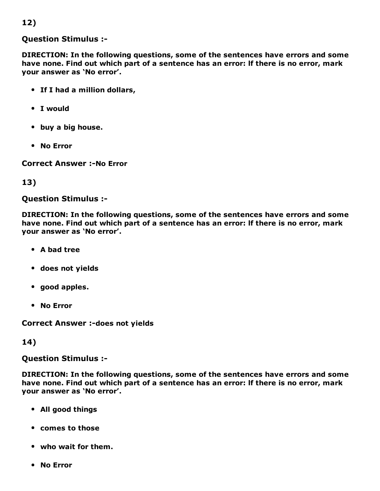### 12)

#### Question Stimulus :

DIRECTION: In the following questions, some of the sentences have errors and some have none. Find out which part of a sentence has an error: lf there is no error, mark your answer as 'No error'.

- If I had a million dollars,
- I would
- buy a big house.
- No Error

**Correct Answer :-No Error** 

#### 13)

#### Question Stimulus :

DIRECTION: In the following questions, some of the sentences have errors and some have none. Find out which part of a sentence has an error: lf there is no error, mark your answer as 'No error'.

- A bad tree
- does not yields
- good apples.
- No Error

Correct Answer :- does not yields

#### 14)

Question Stimulus :

DIRECTION: In the following questions, some of the sentences have errors and some have none. Find out which part of a sentence has an error: lf there is no error, mark your answer as 'No error'.

- All good things
- comes to those
- who wait for them.
- No Error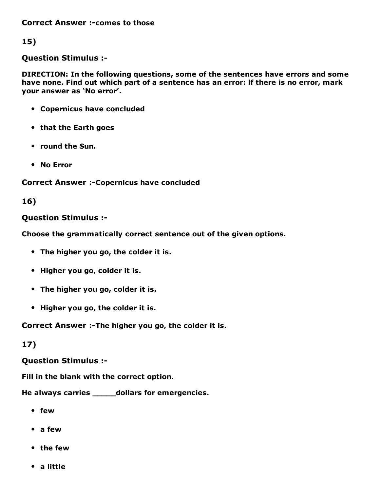**Correct Answer :- comes to those** 

15)

Question Stimulus :

DIRECTION: In the following questions, some of the sentences have errors and some have none. Find out which part of a sentence has an error: lf there is no error, mark your answer as 'No error'.

- Copernicus have concluded
- that the Earth goes
- round the Sun.
- No Error

Correct Answer :- Copernicus have concluded

#### 16)

#### Question Stimulus :

Choose the grammatically correct sentence out of the given options.

- The higher you go, the colder it is.
- Higher you go, colder it is.
- The higher you go, colder it is.
- Higher you go, the colder it is.

Correct Answer :-The higher you go, the colder it is.

#### 17)

#### Question Stimulus :

Fill in the blank with the correct option.

He always carries \_\_\_\_\_dollars for emergencies.

- few
- a few
- the few
- a little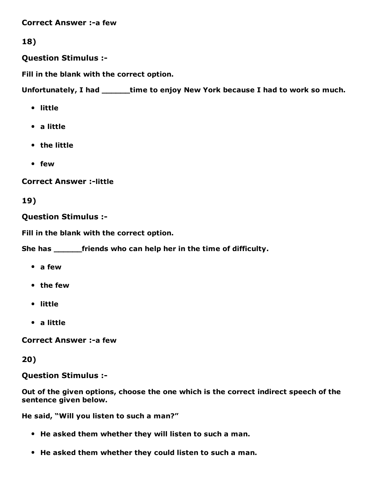**Correct Answer :-a few** 

### 18)

Question Stimulus :

Fill in the blank with the correct option.

Unfortunately, I had \_\_\_\_\_time to enjoy New York because I had to work so much.

- little
- a little
- the little
- few

**Correct Answer :-little** 

### 19)

Question Stimulus :

Fill in the blank with the correct option.

She has \_\_\_\_\_\_friends who can help her in the time of difficulty.

- a few
- the few
- little
- a little

**Correct Answer :- a few** 

#### 20)

Question Stimulus :

Out of the given options, choose the one which is the correct indirect speech of the sentence given below.

He said, "Will you listen to such a man?"

- He asked them whether they will listen to such a man.
- He asked them whether they could listen to such a man.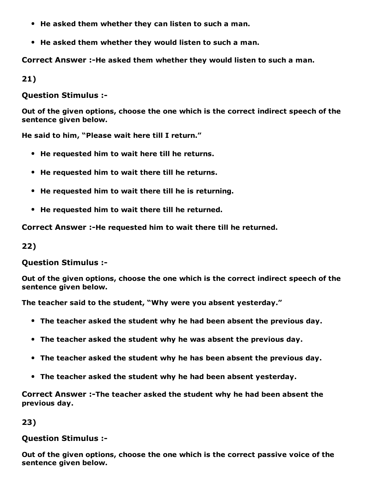- He asked them whether they can listen to such a man.
- He asked them whether they would listen to such a man.

Correct Answer :-He asked them whether they would listen to such a man.

21)

Question Stimulus :

Out of the given options, choose the one which is the correct indirect speech of the sentence given below.

He said to him, "Please wait here till I return."

- He requested him to wait here till he returns.
- He requested him to wait there till he returns.
- He requested him to wait there till he is returning.
- He requested him to wait there till he returned.

Correct Answer :-He requested him to wait there till he returned.

22)

Question Stimulus :

Out of the given options, choose the one which is the correct indirect speech of the sentence given below.

The teacher said to the student, "Why were you absent yesterday."

- The teacher asked the student why he had been absent the previous day.
- The teacher asked the student why he was absent the previous day.
- The teacher asked the student why he has been absent the previous day.
- The teacher asked the student why he had been absent yesterday.

Correct Answer :-The teacher asked the student why he had been absent the previous day.

23)

#### Question Stimulus :

Out of the given options, choose the one which is the correct passive voice of the sentence given below.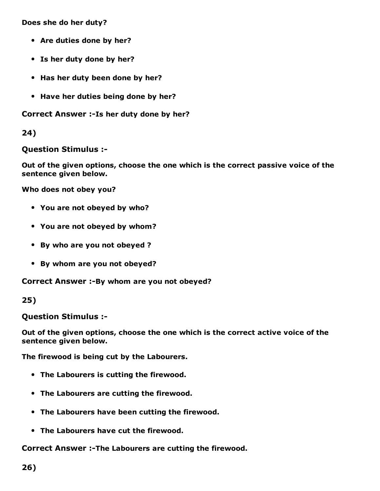Does she do her duty?

- Are duties done by her?
- Is her duty done by her?
- Has her duty been done by her?
- Have her duties being done by her?

Correct Answer :-Is her duty done by her?

24)

Question Stimulus :

Out of the given options, choose the one which is the correct passive voice of the sentence given below.

Who does not obey you?

- You are not obeyed by who?
- You are not obeyed by whom?
- By who are you not obeyed ?
- By whom are you not obeyed?

Correct Answer :-By whom are you not obeyed?

25)

Question Stimulus :

Out of the given options, choose the one which is the correct active voice of the sentence given below.

The firewood is being cut by the Labourers.

- The Labourers is cutting the firewood.
- The Labourers are cutting the firewood.
- The Labourers have been cutting the firewood.
- The Labourers have cut the firewood.

Correct Answer :-The Labourers are cutting the firewood.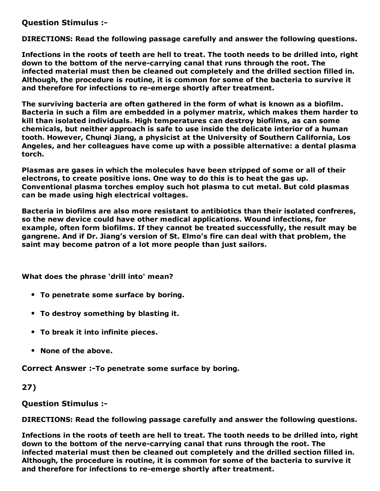Question Stimulus :

DIRECTIONS: Read the following passage carefully and answer the following questions.

Infections in the roots of teeth are hell to treat. The tooth needs to be drilled into, right down to the bottom of the nerve-carrying canal that runs through the root. The infected material must then be cleaned out completely and the drilled section filled in. Although, the procedure is routine, it is common for some of the bacteria to survive it and therefore for infections to re-emerge shortly after treatment.

The surviving bacteria are often gathered in the form of what is known as a biofilm. Bacteria in such a film are embedded in a polymer matrix, which makes them harder to kill than isolated individuals. High temperatures can destroy biofilms, as can some chemicals, but neither approach is safe to use inside the delicate interior of a human tooth. However, Chunqi Jiang, a physicist at the University of Southern California, Los Angeles, and her colleagues have come up with a possible alternative: a dental plasma torch.

Plasmas are gases in which the molecules have been stripped of some or all of their electrons, to create positive ions. One way to do this is to heat the gas up. Conventional plasma torches employ such hot plasma to cut metal. But cold plasmas can be made using high electrical voltages.

Bacteria in biofilms are also more resistant to antibiotics than their isolated confreres, so the new device could have other medical applications. Wound infections, for example, often form biofilms. If they cannot be treated successfully, the result may be gangrene. And if Dr. Jiang's version of St. Elmo's fire can deal with that problem, the saint may become patron of a lot more people than just sailors.

What does the phrase 'drill into' mean?

- To penetrate some surface by boring.
- To destroy something by blasting it.
- To break it into infinite pieces.
- None of the above.

Correct Answer :-To penetrate some surface by boring.

27)

Question Stimulus :

DIRECTIONS: Read the following passage carefully and answer the following questions.

Infections in the roots of teeth are hell to treat. The tooth needs to be drilled into, right down to the bottom of the nerve-carrying canal that runs through the root. The infected material must then be cleaned out completely and the drilled section filled in. Although, the procedure is routine, it is common for some of the bacteria to survive it and therefore for infections to re-emerge shortly after treatment.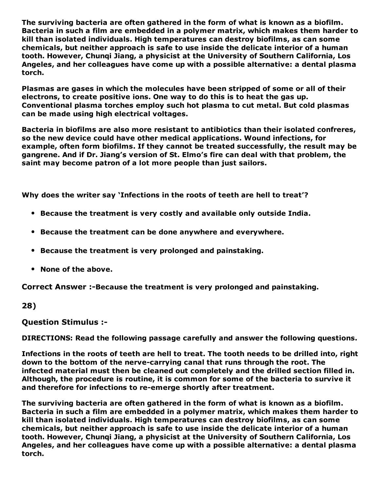The surviving bacteria are often gathered in the form of what is known as a biofilm. Bacteria in such a film are embedded in a polymer matrix, which makes them harder to kill than isolated individuals. High temperatures can destroy biofilms, as can some chemicals, but neither approach is safe to use inside the delicate interior of a human tooth. However, Chunqi Jiang, a physicist at the University of Southern California, Los Angeles, and her colleagues have come up with a possible alternative: a dental plasma torch.

Plasmas are gases in which the molecules have been stripped of some or all of their electrons, to create positive ions. One way to do this is to heat the gas up. Conventional plasma torches employ such hot plasma to cut metal. But cold plasmas can be made using high electrical voltages.

Bacteria in biofilms are also more resistant to antibiotics than their isolated confreres, so the new device could have other medical applications. Wound infections, for example, often form biofilms. If they cannot be treated successfully, the result may be gangrene. And if Dr. Jiang's version of St. Elmo's fire can deal with that problem, the saint may become patron of a lot more people than just sailors.

Why does the writer say 'Infections in the roots of teeth are hell to treat'?

- Because the treatment is very costly and available only outside India.
- Because the treatment can be done anywhere and everywhere.
- Because the treatment is very prolonged and painstaking.
- None of the above.

Correct Answer :-Because the treatment is very prolonged and painstaking.

#### 28)

Question Stimulus :

DIRECTIONS: Read the following passage carefully and answer the following questions.

Infections in the roots of teeth are hell to treat. The tooth needs to be drilled into, right down to the bottom of the nerve-carrying canal that runs through the root. The infected material must then be cleaned out completely and the drilled section filled in. Although, the procedure is routine, it is common for some of the bacteria to survive it and therefore for infections to re-emerge shortly after treatment.

The surviving bacteria are often gathered in the form of what is known as a biofilm. Bacteria in such a film are embedded in a polymer matrix, which makes them harder to kill than isolated individuals. High temperatures can destroy biofilms, as can some chemicals, but neither approach is safe to use inside the delicate interior of a human tooth. However, Chunqi Jiang, a physicist at the University of Southern California, Los Angeles, and her colleagues have come up with a possible alternative: a dental plasma torch.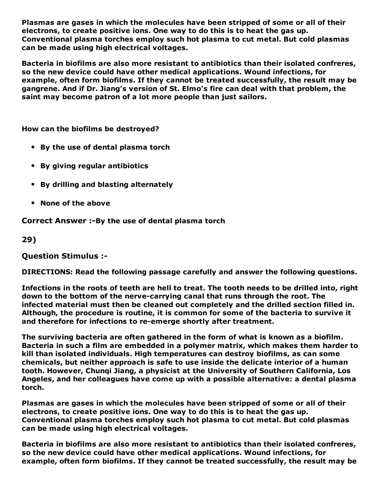Plasmas are gases in which the molecules have been stripped of some or all of their electrons, to create positive ions. One way to do this is to heat the gas up. Conventional plasma torches employ such hot plasma to cut metal. But cold plasmas can be made using high electrical voltages.

Bacteria in biofilms are also more resistant to antibiotics than their isolated confreres, so the new device could have other medical applications. Wound infections, for example, often form biofilms. If they cannot be treated successfully, the result may be gangrene. And if Dr. Jiang's version of St. Elmo's fire can deal with that problem, the saint may become patron of a lot more people than just sailors.

How can the biofilms be destroyed?

- By the use of dental plasma torch
- By giving regular antibiotics
- By drilling and blasting alternately
- None of the above

Correct Answer :-By the use of dental plasma torch

29)

Question Stimulus :

DIRECTIONS: Read the following passage carefully and answer the following questions.

Infections in the roots of teeth are hell to treat. The tooth needs to be drilled into, right down to the bottom of the nerve-carrying canal that runs through the root. The infected material must then be cleaned out completely and the drilled section filled in. Although, the procedure is routine, it is common for some of the bacteria to survive it and therefore for infections to re-emerge shortly after treatment.

The surviving bacteria are often gathered in the form of what is known as a biofilm. Bacteria in such a film are embedded in a polymer matrix, which makes them harder to kill than isolated individuals. High temperatures can destroy biofilms, as can some chemicals, but neither approach is safe to use inside the delicate interior of a human tooth. However, Chunqi Jiang, a physicist at the University of Southern California, Los Angeles, and her colleagues have come up with a possible alternative: a dental plasma torch.

Plasmas are gases in which the molecules have been stripped of some or all of their electrons, to create positive ions. One way to do this is to heat the gas up. Conventional plasma torches employ such hot plasma to cut metal. But cold plasmas can be made using high electrical voltages.

Bacteria in biofilms are also more resistant to antibiotics than their isolated confreres, so the new device could have other medical applications. Wound infections, for example, often form biofilms. If they cannot be treated successfully, the result may be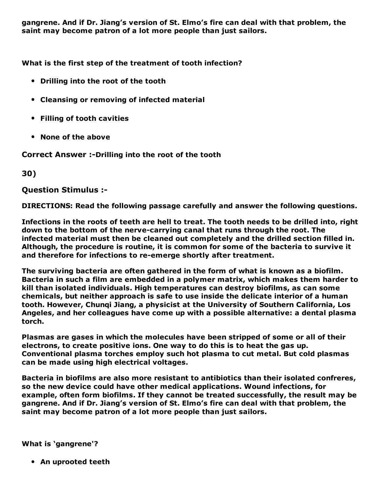gangrene. And if Dr. Jiang's version of St. Elmo's fire can deal with that problem, the saint may become patron of a lot more people than just sailors.

What is the first step of the treatment of tooth infection?

- Drilling into the root of the tooth
- Cleansing or removing of infected material
- Filling of tooth cavities
- None of the above

Correct Answer :-Drilling into the root of the tooth

30)

Question Stimulus :

DIRECTIONS: Read the following passage carefully and answer the following questions.

Infections in the roots of teeth are hell to treat. The tooth needs to be drilled into, right down to the bottom of the nerve-carrying canal that runs through the root. The infected material must then be cleaned out completely and the drilled section filled in. Although, the procedure is routine, it is common for some of the bacteria to survive it and therefore for infections to re-emerge shortly after treatment.

The surviving bacteria are often gathered in the form of what is known as a biofilm. Bacteria in such a film are embedded in a polymer matrix, which makes them harder to kill than isolated individuals. High temperatures can destroy biofilms, as can some chemicals, but neither approach is safe to use inside the delicate interior of a human tooth. However, Chunqi Jiang, a physicist at the University of Southern California, Los Angeles, and her colleagues have come up with a possible alternative: a dental plasma torch.

Plasmas are gases in which the molecules have been stripped of some or all of their electrons, to create positive ions. One way to do this is to heat the gas up. Conventional plasma torches employ such hot plasma to cut metal. But cold plasmas can be made using high electrical voltages.

Bacteria in biofilms are also more resistant to antibiotics than their isolated confreres, so the new device could have other medical applications. Wound infections, for example, often form biofilms. If they cannot be treated successfully, the result may be gangrene. And if Dr. Jiang's version of St. Elmo's fire can deal with that problem, the saint may become patron of a lot more people than just sailors.

What is 'gangrene'?

An uprooted teeth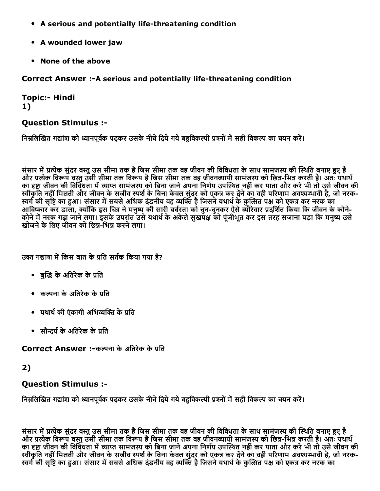- A serious and potentially life-threatening condition
- A wounded lower jaw
- None of the above

Correct Answer :- A serious and potentially life-threatening condition

**Topic:- Hindi** 1)

#### Question Stimulus :

निम्नलिखित गद्यांश को ध्यानपूर्वक पढ़कर उसके नीचे दिये गये बहविकल्पी प्रश्नों में सही विकल्प का चयन करें।

संसार में प्रत्येक सुंदर वस्तु उस सीमा तक है जिस सीमा तक वह जीवन की विविधता के साथ सामंजस्य की स्थिति बनाए हुए है और प्रत्येक विरूप वस्तु उसी सीमा तक विरूप है जिस सीमा तक वह जीवनव्यापी सामंजस्य को छिन्न-भिन्न करती है। अतः यथाथ का दृष्टा जीवन की विविधता में व्याप्त सामंजस्य को बिना जाने अपना निर्णय उपस्थित नहीं कर पाता और करे भी तो उसे जीवन की स्वीकृति नहीं मिलती और जीवन के सजीव स्पर्श के बिना केवल सुंदर को एकत्र कर देने का वही परिणाम अवश्यम्भावी है, जो नरक-्गी की सृष्टि का हुआ। संसार में सबसे अधिक दंडनीय वह व्यक्ति है जिसने यथार्थ के कुत्सित पक्ष को एकत्र कर नरक का आविष्कार कर डाला, क्योंकि इस चित्र ने मनुष्य की सारी बर्बरता को चुन-चुनकर ऐसे ब्यौरेवार प्रदर्शित किया कि जीवन के कोने-कोने में नरक गढ़ा जाने लगा। इसके उपरांत उसे यथार्थ के अकेले सुखपक्ष को पूंजीभूत कर इस तरह सजाना पड़ा कि मनुष्य उसे खोजने के लिए जीवन को छिन्न-भिन्न करने लगा।

उक्त गद्यांश में किस बात के प्रति सर्तक किया गया है?

- बद्धि के अतिरेक के प्रति
- $\bullet$  कल्पना के अतिरेक के पति
- यथार्थ की एंकागी अभिव्यक्ति के प्रति
- सौन्दर्य के अतिरेक के प्रति

Correct Answer :-कल्पना के अतिरेक के प्रति

### 2)

### Question Stimulus :

निम्नलिखित गद्यांश को ध्यानपूर्वक पढ़कर उसके नीचे दिये गये बहविकल्पी प्रश्नों में सही विकल्प का चयन करें।

संसार में प्रत्येक सुंदर वस्तु उस सीमा तक है जिस सीमा तक वह जीवन की विविधता के साथ सामंजस्य की स्थिति बनाए हुए है ्योर प्रत्येक विरूप वस्तु उसी सीमा तक विरूप है जिस सीमा तक वह जीवनव्यापी सामंजस्य को छिन्न-भिन्न करती है। अतः यथार्थ का दृष्टा जीवन की विविधता में व्याप्त सामंजस्य को बिना जाने अपना निर्णय उपस्थित नहीं कर पाता और करे भी तो उसे जीवन की स्वीकृति नहीं मिलती और जीवन के सजीव स्पर्श के बिना केवल सुंदर को एकत्र कर देने का वही परिणाम अवश्यम्भावी है, जो नरक-स्वर्ग की सृष्टि का हुआ। संसार में सबसे अधिक दंडनीय वह व्यक्ति है जिसने यथार्थ के कुत्सित पक्ष को एकत्र कर नरक का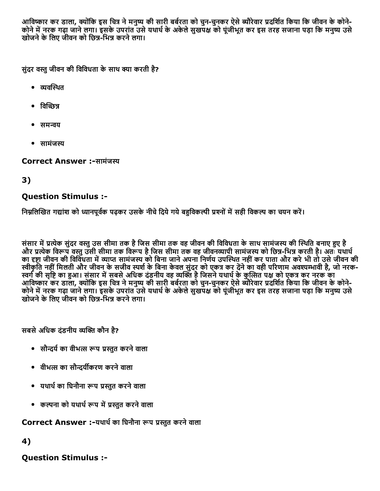आविष्कार कर डाला, क्योंकि इस चित्र ने मनुष्य की सारी बर्बरता को चुन-चुनकर ऐसे ब्यौरेवार प्रदर्शित किया कि जीवन के कोने-कोने में नरक गढ़ा जाने लगा। इसके उपरांत उसे यथार्थ के अकेले सुखपक्ष को पूंजीभूत कर इस तरह सजाना पड़ा कि मनुष्य उसे खोजने के लिए जीवन को छिन्न-भिन्न करने लगा।

सुंदर वस्तु जीवन की विविधता के साथ क्या करती है?

- $\bullet$  व्यवस्थित
- विच्छित्र
- समन्वय
- सामंजस्य

Correct Answer :-सामंजस्य

### 3)

#### Question Stimulus :

निम्नलिखित गद्यांश को ध्यानपूर्वक पढ़कर उसके नीचे दिये गये बहुविकल्पी प्रश्नों में सही विकल्प का चयन करें।

संसार में प्रत्येक सुंदर वस्तु उस सीमा तक है जिस सीमा तक वह जीवन की विविधता के साथ सामंजस्य की स्थिति बनाए हए है और प्रत्येक विरूप वस्तु उसी सीमा तक विरूप है जिस सीमा तक वह जीवनव्यापी सामंजस्य को छिन्न-भिन्न करती है। अतः यथार्थ ्यार कारण गर्ना जीवन की विविधता में व्याप्त सामंजस्य को बिना जाने अपना निर्णय उपस्थित नहीं कर पाता और करे भी तो उसे जीवन की स्वीकृति नहीं मिलती और जीवन के सजीव स्पर्श के बिना केवल सुंदर को एकत्र कर देने का वही परिणाम अवश्यम्भावी है, जो नरक-स्वर्ग की सृष्टि का हुआ। संसार में सबसे अधिक दंडनीय वह व्यक्ति है जिसने यथार्थ के कुत्सित पक्ष को एकत्र कर नरक का आविष्कार कर डाला, क्योंकि इस चित्र ने मनुष्य की सारी बर्बरता को चुन-चुनकर ऐसे ब्यौरेवार प्रदर्शित किया कि जीवन के कोने-कोने में नरक गढ़ा जाने लगा। इसके उपरांत उसे यथार्थ के अकेले सखपक्ष को पंजीभत कर इस तरह सजाना पड़ा कि मनष्य उसे स्ते के लिए जीवन को छित्र-भिन्न करने लगा।

सबसे अधिक दंडनीय व्यक्ति कौन है?

- सौन्दर्य का वीभत्स रूप प्रस्तुत करने वाला
- वीभत्स का सौन्दर्यीकरण करने वाला
- यथार्थ का घिनौना रूप प्रस्तुत करने वाला
- कल्पना को यथार्थ रूप में प्रस्तुत करने वाला

Correct Answer :-यथार्थ का घिनौना रूप प्रस्तुत करने वाला

4)

Question Stimulus :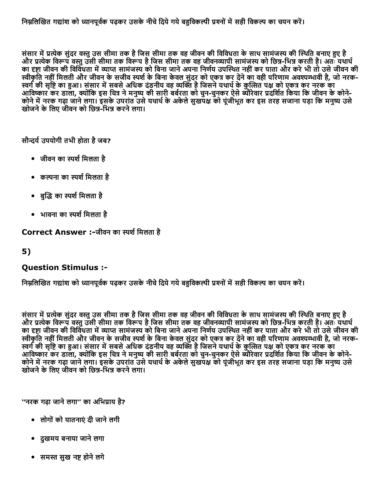संसार में प्रत्येक सुंदर वस्तु उस सीमा तक है जिस सीमा तक वह जीवन की विविधता के साथ सामंजस्य की स्थिति बनाए हुए है और प्रत्येक विरूप वस्तु उसी सीमा तक विरूप है जिस सीमा तक वह जीवनव्यापी सामंजस्य को छिन्न-भिन्न करती है। अतः यथार्थ का दृष्टा जीवन की विविधता में व्याप्त सामंजस्य को बिना जाने अपना निर्णय उपस्थित नहीं कर पाता और करे भी तो उसे जीवन की स्वीकृति नहीं मिलती और जीवन के सजीव स्पर्श के बिना केवल सुंदर को एकत्र कर देंने का वही परिणाम अवश्यम्भावी है, जो नरक-स्वर्ग की सृष्टि का हुआ। संसार में सबसे अधिक दंडनीय वह व्यक्ति है जिसने यथार्थ के कुत्सित पक्ष को एकत्र कर नरक का आविष्कार कर डाला, क्योंकि इस चित्र ने मनुष्य की सारी बर्बरता को चुन-चुनकर ऐसे ब्यौरेवार प्रदर्शित किया कि जीवन के कोने-कोने में नरक गढ़ा जाने लगा। इसके उपरांत उसे यथार्थ के अकेले सुखपक्ष को पंजीभूत कर इस तरह सजाना पड़ा कि मनुष्य उसे खोजने के लिए जीवन को छिन्न-भिन्न करने लगा।

सौन्दर्य उपयोगी तभी होता है जब?

- जीवन का स्पर्श मिलता है
- कल्पना का स्पर्श मिलता है
- बुद्धि का स्पर्श मिलता है
- भावना का स्पर्श मिलता है

Correct Answer :-जीवन का स्पर्श मिलता है

#### 5)

#### Question Stimulus :

निम्नलिखित गद्यांश को ध्यानपूर्वक पढ़कर उसके नीचे दिये गये बहविकल्पी प्रश्नों में सही विकल्प का चयन करें।

संसार में प्रत्येक सुंदर वस्तु उस सीमा तक है जिस सीमा तक वह जीवन की विविधता के साथ सामंजस्य की स्थिति बनाए हुए है और प्रत्येक विरूप वस्तु उसी सीमा तक विरूप है जिस सीमा तक वह जीवनव्यापी सामंजस्य को छिन्न-भिन्न करती है। अतः यथार्थ का दृष्टा जीवन की विविधता में व्याप्त सामंजस्य को बिना जाने अपना निर्णय उपस्थित नहीं कर पाता और करे भी तो उसे जीवन की स्वीकृति नहीं मिलती और जीवन के सजीव स्पर्श के बिना केवल सुंदर को एकत्र कर देने का वही परिणाम अवश्यम्भावी है, जो नरक-स्वर्ग की सृष्टि का हुआ। संसार में सबसे अधिक दंडनीय वह व्यक्ति है जिसने यथार्थ के कुत्सित पक्ष को एकत्र कर नरक का आविष्कार कर डाला, क्योंकि इस चित्र ने मनुष्य की सारी बर्बरता को चुन-चुनकर ऐसे ब्यौरेवार प्रदर्शित किया कि जीवन के कोने-कोने में नरक गढ़ा जाने लगा। इसके उपरांत उसे यथार्थ के अकेले सुखपक्ष को पूंजीभूत कर इस तरह सजाना पड़ा कि मनुष्य उसे खोजने के लिए जीवन को छिन्न-भिन्न करने लगा।

''नरक गढ़ा जाने लगा'' का अभिप्राय है?

- लोगोंको यातनाएंदी जानेलगी
- दुखमय बनाया जानेलगा
- समस्त सुख नष्ट होने लगे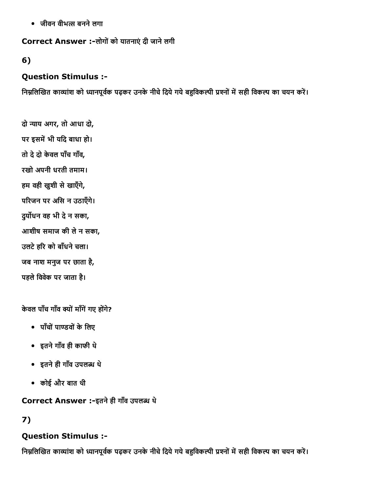• जीवन वीभत्स बनने लगा

Correct Answer :-लोगों को यातनाएं दी जाने लगी

### 6)

### Question Stimulus :

निम्नलिखित काव्यांश को ध्यानपूर्वक पढ़कर उनके नीचे दिये गये बहुविकल्पी प्रश्नों में सही विकल्प का चयन करें।

- दो न्याय अगर, तो आधा दो,
- पर इसमें भी यदि बाधा हो।
- तो देदो केवल पाँच गाँव,
- रखो अपनी धरती तमाम।
- हम वही खुशी सेखाएँगे,
- परिजन पर असि न उठाएँगे।
- दुर्योधन वह भी दे न सका,
- आशीष समाज की लेन सका,
- उलटे हरि को बाँधने चला।
- जब नाश मनुज पर छाता है,
- पहले विवेक पर जाता है।

केवल पाँच गाँव क्यों माँगें गए होंगे?

- पाँचों पाण्डवों के लिए
- इतनेगाँव ही काफी थे
- इतनेही गाँव उपल开踁 थे
- कोई और बात थी

Correct Answer :-इतने ही गाँव उपलब्ध थे

### 7)

### Question Stimulus :

निम्नलिखित काव्यांश को ध्यानपूर्वक पढ़कर उनके नीचे दिये गये बहुविकल्पी प्रश्नों में सही विकल्प का चयन करें।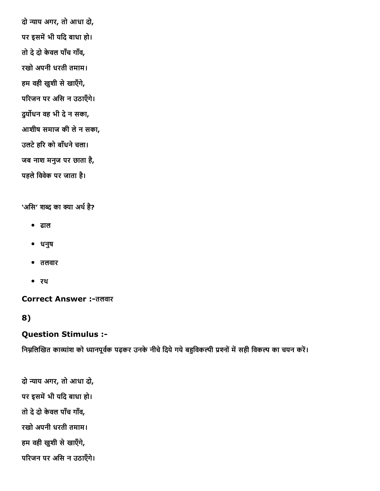दो न्याय अगर, तो आधा दो, पर इसमें भी यदि बाधा हो। तो देदो केवल पाँच गाँव, रखो अपनी धरती तमाम। हम वही खुशी से खाएँगे, परिजन पर असि न उठाएँगे। दुर्योधन वह भी दे न सका, आशीष समाज की लेन सका, उलटे हरि को बाँधने चला। जब नाश मनुज पर छाता है, पहले विवेक पर जाता है।

'असि' शब्द का क्या अर्थ है?

- ढाल
- धनुष
- तलवार
- रथ

Correct Answer :तलवार

8)

#### Question Stimulus :

निम्नलिखित काव्यांश को ध्यानपूर्वक पढ़कर उनके नीचे दिये गये बहुविकल्पी प्रश्नों में सही विकल्प का चयन करें।

दो न्याय अगर, तो आधा दो, पर इसमें भी यदि बाधा हो। तो देदो केवल पाँच गाँव, रखो अपनी धरती तमाम। हम वही खुशी सेखाएँगे, परिजन पर असि न उठाएँगे।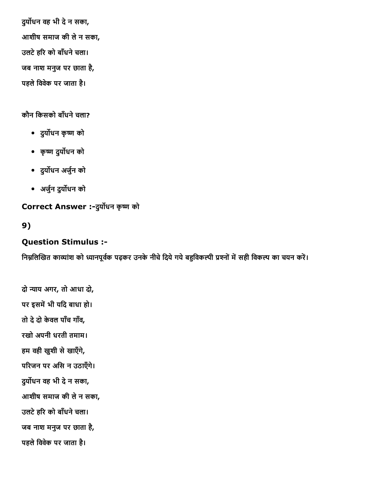दुर्योधन वह भी दे न सका, आशीष समाज की लेन सका, उलटे हरि को बाँधने चला। जब नाश मनुज पर छाता है, पहले विवेक पर जाता है।

#### कौन किसको बाँधने चला?

- दुर्योधन कृष्ण को
- कृष्ण दुर्योधन को
- दुय⸡☡धन अजु혟न को
- अजु혟न दुय⸡☡धन को

Correct Answer :-दुर्योधन कृष्ण को

#### 9)

#### Question Stimulus :

निम्नलिखित काव्यांश को ध्यानपूर्वक पढ़कर उनके नीचे दिये गये बहुविकल्पी प्रश्नों में सही विकल्प का चयन करें।

दो न्याय अगर, तो आधा दो, पर इसमें भी यदि बाधा हो। तो देदो केवल पाँच गाँव, रखो अपनी धरती तमाम। हम वही खुशी सेखाएँगे, परिजन पर असि न उठाएँगे। दुर्योधन वह भी दे न सका, आशीष समाज की लेन सका, उलटे हरि को बाँधने चला। जब नाश मनुज पर छाता है, पहले विवेक पर जाता है।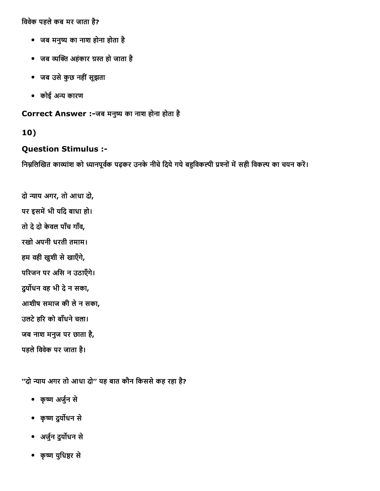विवेक पहले कब मर जाता है?

- जब मनुष्य का नाश होना होता है
- जब व्यक्ति अहंकार ग्रस्त हो जाता है
- जब उसेकुछ नहींसूझता
- कोई अन्य कारण

Correct Answer :-जब मनुष्य का नाश होना होता है

#### 10)

#### Question Stimulus :

निम्नलिखित काव्यांश को ध्यानपूर्वक पढ़कर उनके नीचे दिये गये बहुविकल्पी प्रश्नों में सही विकल्प का चयन करें।

दो न्याय अगर, तो आधा दो, पर इसमें भी यदि बाधा हो। तो देदो केवल पाँच गाँव, रखो अपनी धरती तमाम। हम वही खुशी सेखाएँगे, परिजन पर असि न उठाएँगे। दुर्योधन वह भी दे न सका, आशीष समाज की लेन सका, उलटे हरि को बाँधने चला। जब नाश मनुज पर छाता है, पहले विवेक पर जाता है।

''दो न्याय अगर तो आधा दो" यह बात कौन किससे कह रहा है?

- कृष्ण अर्जुन से
- कृष्ण दुर्योधन से
- अजु혟न दुय⸡☡धन से
- कृष्ण युधिष्ठर से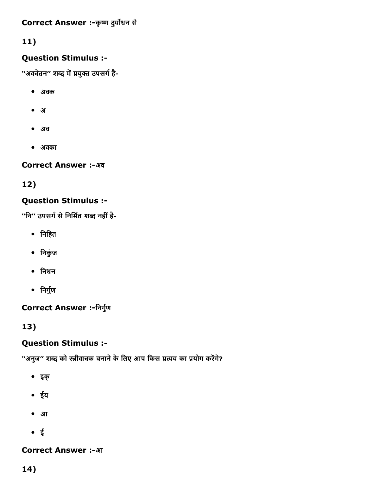Correct Answer :- कृष्ण दुर्योधन से

# 11)

### Question Stimulus :

''अवचेतन'' शब्द में प्रयुक्त उपसर्ग है-

- अवक
- अ
- अव
- अवका

Correct Answer :-अव

# 12)

### Question Stimulus :

''नि" उपसर्ग से निर्मित शब्द नहीं है-

- िनिहत
- िनकंुज
- िनधन
- निर्गुण

### Correct Answer :-निर्गुण

13)

### Question Stimulus :

''अनुज'' शब्द को स्त्रीवाचक बनाने के लिए आप किस प्रत्यय का प्रयोग करेंगे?

- इक्
- ईय
- आ
- ई

### **Correct Answer :-आ**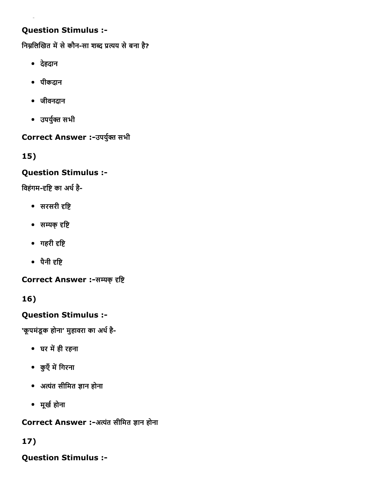### Question Stimulus :

निम्नलिखित में से कौन-सा शब्द प्रत्यय से बना है?

- देहदान
- पीकदान
- जीवनदान
- उपर्युक्त सभी

### Correct Answer :- उपर्युक्त सभी

15)

### Question Stimulus :

विहंगम-दृष्टि का अर्थ है-

- $\bullet$  सरसरी दृष्टि
- सम्यक् दृष्टि
- गहरी दृष्टि
- पैनी दृष्टि

Correct Answer :-सम्यक् दृष्टि

16)

### Question Stimulus :

'कूपमंडूक होना' मुहावरा का अर्थ है-

- घर में ही रहना
- कुएँ में गिरना
- अत्यंत सीमित ज्ञान होना
- मूर्ख होना

Correct Answer :-अत्यंत सीमित ज्ञान होना

### 17)

Question Stimulus :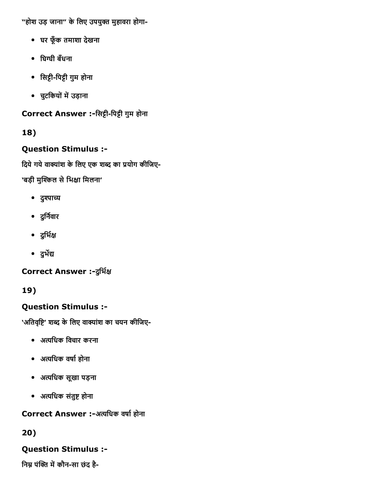"होश उड़ जाना" के लिए उपयुक्त मुहावरा होगा-

- घर फूँक तमाशा देखना
- घिग्घी बँधना
- िसीिपी गुम होना
- चुटकियों में उड़ाना

Correct Answer :-सिट्टी-पिट्टी गुम होना

18)

# Question Stimulus :

दिये गये वाक्यांश के लिए एक शब्द का प्रयोग कीजिए-

'बड़ी मुश्किल से भिक्षा मिलना'

- दुश्पाच्य
- दुर्निवार
- दुर्भिक्ष
- दुर्भेद्य

Correct Answer :- दुर्भिक्ष

19)

# Question Stimulus :

'अतिवृष्टि' शब्द के लिए वाक्यांश का चयन कीजिए-

- अ퀁鸃िधक िवचार करना
- अत्यधिक वर्षा होना
- अ퀁鸃िधक सूखा पड़ना
- अत्यधिक संतुष्ट होना

Correct Answer :-अत्यधिक वर्षा होना

20)

# Question Stimulus :

निम्न पंक्ति में कौन-सा छंद है-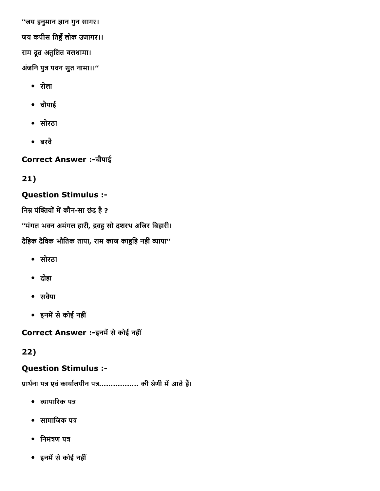''जय हनुमान 娎ान गुन सागर। जय कपीस तिहुँ लोक उजागर।। राम दूत अतुिलत बलधामा। अंजनि पुत्र पवन सुत नामा।।"

- रोला
- चौपाई
- सोरठा
- बरवै

Correct Answer :चौपाई

21)

### Question Stimulus :

निम्न पंक्तियों में कौन-सा छंद है ?

''मंगल भवन अमंगल हारी, द्रवहु सो दशरथ अजिर बिहारी। दैहिक दैविक भौतिक तापा, राम काज काहुहि नहीं व्यापा''

- सोरठा
- दोहा
- सवयैा
- इनमें से कोई नहीं

Correct Answer :-इनमें से कोई नहीं

22)

### Question Stimulus :

प्रार्थना पत्र एवं कार्यालयीन पत्र.................... की श्रेणी में आते हैं।

- व्यापारिक पत्र
- $\bullet$  सामाजिक पत्र
- $\bullet$  निमंत्रण पत्र
- इनमें से कोई नहीं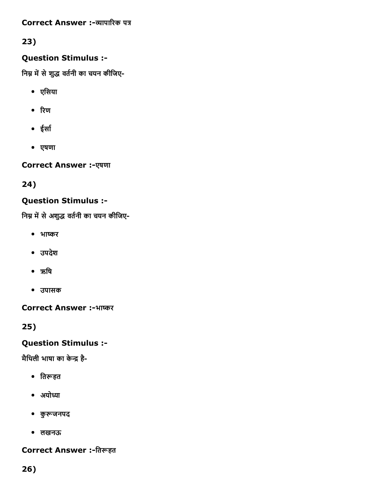Correct Answer :-व्यापारिक पत्र

23)

### Question Stimulus :

निम्न में से शुद्ध वर्तनी का चयन कीजिए-

- एिसया
- रिण
- ईर्सा
- एषणा

**Correct Answer :-एषणा** 

24)

# Question Stimulus :

निम्न में से अशुद्ध वर्तनी का चयन कीजिए-

- भाကଁर
- उपदेश
- ऋषि
- उपासक

Correct Answer :-भाष्कर

25)

# Question Stimulus :

मैथिली भाषा का केन्द्र है-

- तिरूहत
- अयोध्या
- कु⤢Ḣजनपद
- लखनऊ

# Correct Answer :-तिरूहत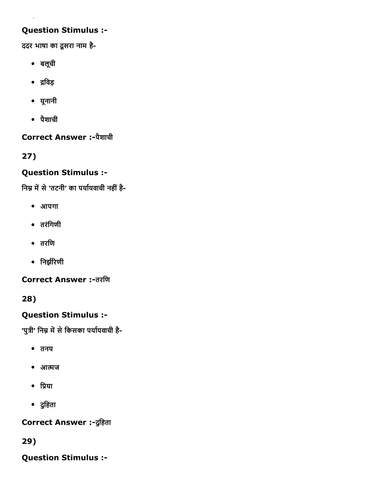### Question Stimulus :

ददर भाषा का दूसरा नाम है

- बलूची
- ∙ द्रविड़
- यूनानी
- पैशाची

Correct Answer :-पैशाची

27)

### Question Stimulus :

निम्न में से 'तटनी' का पर्यायवाची नहीं है-

- आपगा
- तरंिगणी
- तरिण
- निर्झरिणी

**Correct Answer :-तरणि** 

28)

### Question Stimulus :

'पुत्री' निम्न में से किसका पर्यायवाची है-

- तनय
- आत्मज
- प्रिया
- दुिहता

Correct Answer :-दुहिता

29)

Question Stimulus :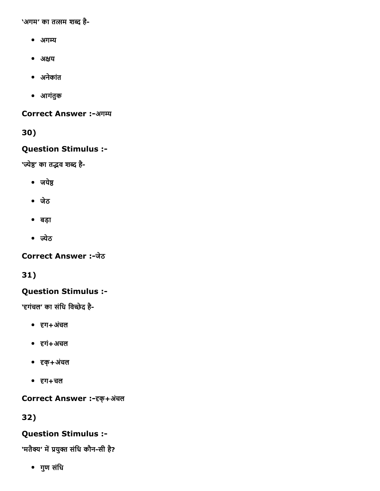'अगम' का तत्सम शब्द है-

- अग
- अक्षय
- अनेकांत
- आगंतुक

**Correct Answer :-अगम्य** 

30)

#### Question Stimulus :

'ज्येष्ठ' का तद्भव शब्द है-

- जयेष्ठ
- जेठ
- बड़ा
- ज्येठ

Correct Answer :-जेठ

31)

### Question Stimulus :

'हगंचल' का संधि विच्छेद है-

- दृग+अंचल
- 焉瀉गं+अचल
- 焉瀉क्+अचंल
- $\bullet$   $\vec{\epsilon}$ ग+चल

Correct Answer :- दक्+अंचल

32)

### Question Stimulus :

'मतैक्य' में प्रयुक्त संधि कौन-सी है?

गुण संिध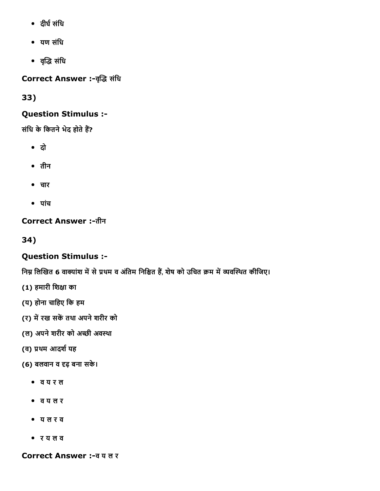- दीर्घ संधि
- यण संिध
- वृद्धि संधि

Correct Answer :-वृद्धि संधि

33)

### Question Stimulus :

संधि के कितने भेद होते हैं?

- दो
- तीन
- चार
- पांच

Correct Answer :-तीन

34)

### Question Stimulus :

निम्न लिखित 6 वाक्यांश में से प्रथम व अंतिम निश्चित हैं, शेष को उचित क्रम में व्यवस्थित कीजिए।

- (1) हमारी शिक्षा का
- (य) होना चािहए िक हम
- (र) में रख सकें तथा अपने शरीर को
- (ल) अपने शरीर को अच्छी अवस्था
- (व) प्रथम आदर्श यह
- (6) बलवान व दृढ़ बना सके।
	- व य र ल
	- व य ल र
	- य ल र व
	- र य ल व

Correct Answer :व य ल र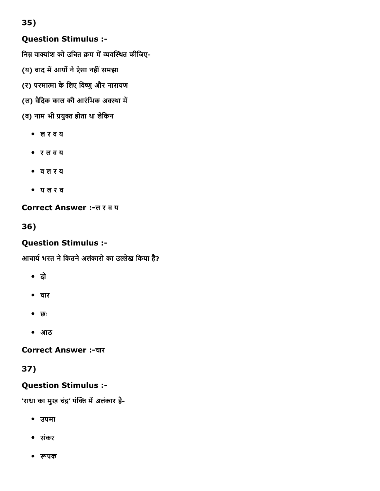35)

### Question Stimulus :

निम्न वाक्यांश को उचित क्रम में व्यवस्थित कीजिए-

- (य) बाद में आर्यो ने ऐसा नहीं समझा
- (र) परमात्मा के लिए विष्णु और नारायण
- (ल) वैदिक काल की आरंभिक अवस्था में

(व) नाम भी प्रयुक्त होता था लेकिन

- ल र व य
- र ल व य
- व ल र य
- य ल र व

#### Correct Answer :-ल र व य

36)

### Question Stimulus :

आचार्य भरत ने कितने अलंकारो का उल्लेख किया है?

- दो
- चार
- छः
- आठ

**Correct Answer :-चार** 

### 37)

### Question Stimulus :

'राधा का मुख चंद्र' पंक्ति में अलंकार है-

- उपमा
- संकर
- ⤢Ḣपक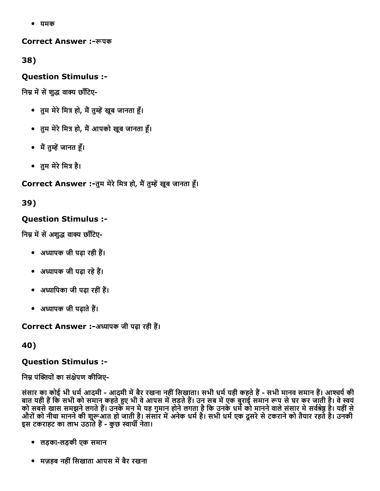यमक

Correct Answer :⤢Ḣपक

38)

Question Stimulus :

निम्न में सें शुद्ध वाक्य छाँटिए-

- तुम मेरे मित्र हो, मैं तुम्हें खुब जानता हूँ।
- तुम मेरे मित्र हो, मैं आपको खूब जानता हूँ।
- मैं तुम्हें जानत हैं।
- तुम मेरे मित्र है।

Correct Answer :-तुम मेरे मित्र हो, मैं तुम्हें खूब जानता हूँ।

39)

### Question Stimulus :

निम्न में सें अशुद्ध वाक्य छाँटिए-

- अध्यापक जी पढ़ा रही हैं।
- अध्यापक जी पढ़ा रहे हैं।
- अध्यापिका जी पढ़ा रहीं हैं।
- अध्यापक जी पढाते हैं।

Correct Answer :-अध्यापक जी पढ़ा रही हैं।

40)

### Question Stimulus :

निम्न पंक्तियों का संक्षेपण कीजिए-

संसार का कोई भी धर्म आदमी - आदमी में बैर रखना नहीं सिखाता। सभी धर्म यही कहते हैं - सभी मानव समान हैं। आश्चर्य की बात यही हैं कि सभी को समान कहते हुए भी वे आपस में लडते हैं। उन सब में एक बुराई समान रूप से घर कर जाती है। वे स्वयं को सबसे खास समझने लगते हैं। उनके मन में यह गुमान होने लगता है कि उनके धर्म को मानने वाले संसार में सवेश्रेष्ठ है। यहीं से औरों को नीचा मानने की शुरूआत हो जाती है। संसार में अनेक धर्म है। सभी धर्म एक दूसरे से टकराने को तैयार रहते है। उनकी इस टकराहट का लाभ उठाते हैं - कुछ स्वार्थी नेता।

- लड़कालड़की एक समान
- मज़हब नहीं सिखाता आपस में बैर रखना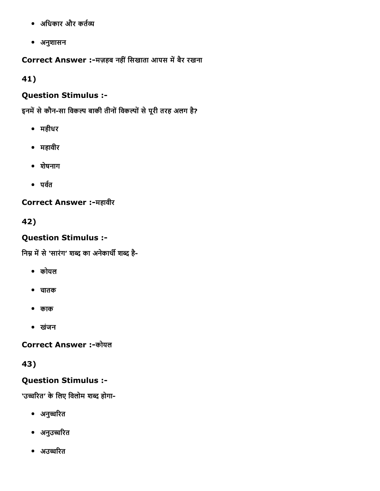- अधिकार और कर्तव्य
- अनुशासन

Correct Answer :-मज़हब नहीं सिखाता आपस में बैर रखना

41)

### Question Stimulus :

इनमें से कौन-सा विकल्प बाकी तीनों विकल्पों से पूरी तरह अलग है?

- महीधर
- महावीर
- शेषनाग
- $\bullet$  पर्वत

Correct Answer :-महावीर

42)

# Question Stimulus :

निम्न में से 'सारंग' शब्द का अनेकार्थी शब्द है-

- कोयल
- चातक
- काक
- खंजन

**Correct Answer :-कोयल** 

43)

### Question Stimulus :

'उच्चरित' के लिए विलोम शब्द होगा-

- अनुच्चरित
- अनुउ倎㠎ꬥꄥरत
- अउच्चरित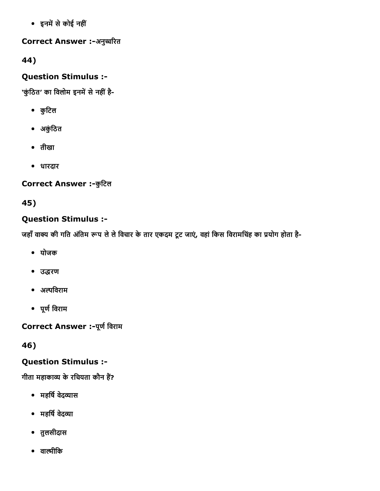• इनमें से कोई नहीं

Correct Answer :-अनुच्चरित

44)

Question Stimulus :

'कुंठित' का विलोम इनमें से नहीं है-

- कुिटल
- अकंुिठत
- तीखा
- धारदार

Correct Answer :- कुटिल

45)

### Question Stimulus :

जहाँ वाक्य की गति अंतिम रूप ले ले विचार के तार एकदम टूट जाएं, वहां किस विरामचिंह का प्रयोग होता है-

- योजक
- उद्धरण
- अ鸆鴆िवराम
- पूर्ण विराम

Correct Answer :- पूर्ण विराम

46)

### Question Stimulus :

गीता महाकाव्य के रचियता कौन हैं?

- महर्षि वेदव्यास
- महर्षि वेदव्या
- तुलसीदास
- वाल्मीकि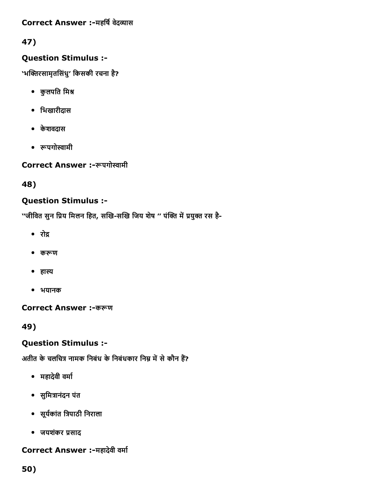### Correct Answer :-महर्षि वेदव्यास

### 47)

### Question Stimulus :

'भक्तिरसामृतसिंधु' किसकी रचना है?

- कुलपति मिश्र
- िभखारीदास
- केशवदास
- ⤢Ḣपगो㔆ामी

Correct Answer :-रूपगोस्वामी

### 48)

### Question Stimulus :

''जीवित सुन प्रिय मिलन हित, सखि-सखि जिय शेष '' पंक्ति में प्रयुक्त रस है-

- ∙ रोद्र
- करूण
- हास्य
- भयानक

Correct Answer :-करूण

49)

### Question Stimulus :

अतीत के चलचित्र नामक निबंध के निबंधकार निम्न में से कौन हैं?

- महादेवी वर्मा
- सुमित्रानंदन पंत
- सूर्यकांत त्रिपाठी निराला
- जयशंकर प्रसाद

### Correct Answer :-महादेवी वर्मा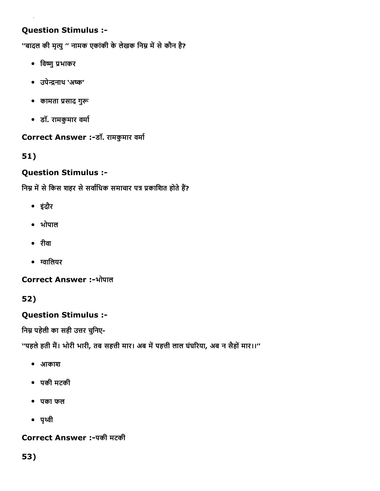### Question Stimulus :

''बादल की मृत्यु '' नामक एकांकी के लेखक निम्न में से कौन है?

- विष्णु प्रभाकर
- उपेनाथ 'अကଁ'
- कामता प्रसाद गुरू
- डॉ. रामकुमार वर्मा

#### Correct Answer :-डॉ. रामकुमार वर्मा

### 51)

### Question Stimulus :

निम्न में से किस शहर से सर्वाधिक समाचार पत्र प्रकाशित होते हैं?

- इंदौर
- भोपाल
- रीवा
- ग्वालियर

Correct Answer :-भोपाल

52)

### Question Stimulus :

निम्न पहेली का सही उत्तर चुनिए-

''पहले हती मैं। भोरी भारी, तब सहत्ती मार। अब में पहत्ती लाल घंघरिया, अब न सैहों मार।।''

- आकाश
- पकी मटकी
- पका फल
- $•$  पृथ्वी

Correct Answer :पकी मटकी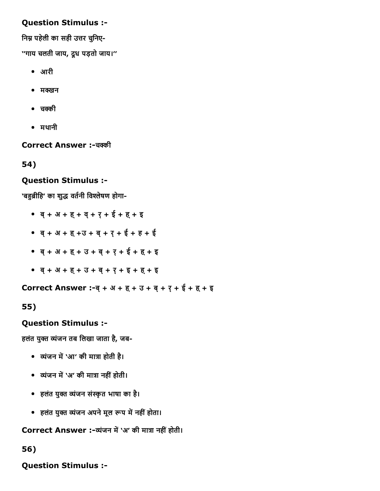### Question Stimulus :

निम्न पहेली का सही उत्तर चुनिए-

''गाय चलती जाय, दूध पड़तो जाय।''

- आरी
- $\bullet$  मक्खन
- चक्की
- मथानी

Correct Answer :-चक्की

54)

#### Question Stimulus :

'बहुब्रीहि' का शुद्ध वर्तनी विश्लेषण होगा-

- ब्+ अ + ह्+ व्+ र्+ ई + ह्+ इ
- ब्+ अ + ह्+उ + ब्+ र्+ ई + ह + ई
- ब्+ अ + ह्+ उ + ब्+ र्+ ई + ह्+ इ
- ब्+ अ + ह्+ उ + ब्+ र्+ इ + ह्+ इ

Correct Answer :-ब्+अ+ह्+उ+ब्+र्+ई+ह्+इ

55)

#### Question Stimulus :

हलंत युक्त व्यंजन तब लिखा जाता है, जब-

- व्यंजन में `आ' की मात्रा होती है।
- व्यंजन में `अ' की मात्रा नहीं होती।
- हलंत युक्त व्यंजन संस्कृत भाषा का है।
- हलंत युक्त व्यंजन अपने मूल रूप में नहीं होता।

Correct Answer :-व्यंजन में 'अ' की मात्रा नहीं होती।

56)

Question Stimulus :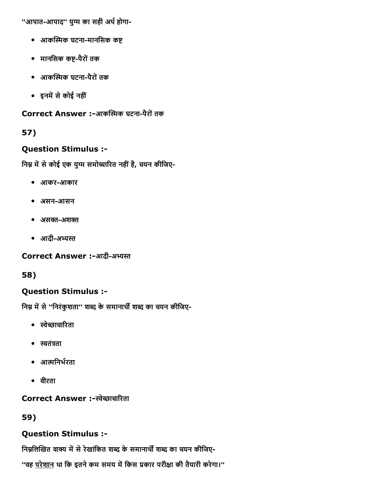''आपात-आपाद'' युग्म का सही अर्थ होगा-

- आकस्मिक घटना-मानसिक कष्ट
- मानसिक कष्ट-पैरों तक
- आकस्मिक घटना-पैरों तक
- इनमें से कोई नहीं

### Correct Answer :-आकस्मिक घटना-पैरों तक

### 57)

### Question Stimulus :

निम्न में से कोई एक युग्म समोच्चारित नहीं है, चयन कीजिए-

- आकरआकार
- असन-आसन
- असक्त-अशक्त
- आदी-अभ्यस्त

Correct Answer :-आदी-अभ्यस्त

### 58)

### Question Stimulus :

निम्न में से ''निरंकुशता'' शब्द के समानार्थी शब्द का चयन कीजिए-

- 㔆े刎ाचाꬥꄥरता
- $\bullet$  स्वतंत्रता
- आत्मनिर्भरता
- वीरता

### Correct Answer :-स्वेच्छाचारिता

# 59)

# Question Stimulus :

निम्नलिखित वाक्य में से रेखांकित शब्द के समानार्थी शब्द का चयन कीजिए-

''वह <u>परेशान</u> था कि इतने कम समय में किस प्रकार परीक्षा की तैयारी करेगा।''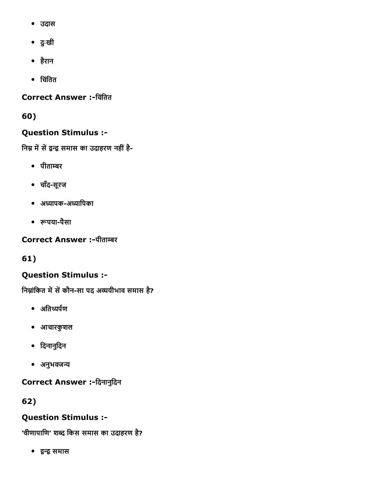- उदास
- दुःखी
- हैरान
- िचिंतत

Correct Answer :-चिंतित

60)

## Question Stimulus :

निम्न में सें द्वन्द्व समास का उदाहरण नहीं है-

- पीताम्बर
- चाँद-सूरज
- अध्यापक-अध्यापिका
- ⤢Ḣपयापैसा

Correct Answer :-पीताम्बर

61)

## Question Stimulus :

निम्नांकित में सें कौन-सा पद अव्ययीभाव समास है?

- अतिथ्यर्पण
- आचारकुशल
- िदनानुिदन
- अनुभवजन्य

Correct Answer :-दिनानुदिन

62)

## Question Stimulus :

'वीणापाणि' शब्द किस समास का उदाहरण है?

洀欀䄎㼎洀欀 समास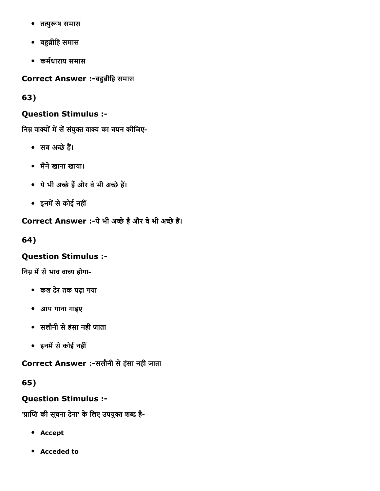- तत्पुरूष समास
- बဣȣ ीिह समास
- कर्मधाराय समास

Correct Answer :-बहुब्रीहि समास

63)

## Question Stimulus :

निम्न वाक्यों में सें संयुक्त वाक्य का चयन कीजिए-

- सब अच्छे हैं।
- मैंने खाना खाया।
- ये भी अच्छे हैं और वे भी अच्छे हैं।
- इनमें से कोई नहीं

Correct Answer :-ये भी अच्छे हैं और वे भी अच्छे हैं।

64)

## Question Stimulus :

निम्न में सें भाव वाच्य होगा-

- कल देर तक पढ़ा गया
- आप गाना गाइए
- सलौनी सेहंसा नही जाता
- इनमें से कोई नहीं

Correct Answer :-सलौनी से हंसा नही जाता

65)

## Question Stimulus :

'प्राप्ति की सूचना देना' के लिए उपयुक्त शब्द है-

- Accept
- Acceded to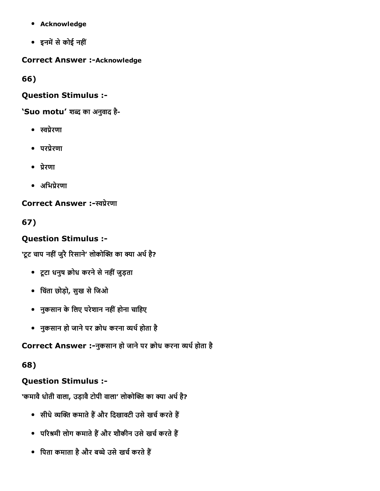- Acknowledge
- इनमें से कोई नहीं

**Correct Answer :- Acknowledge** 

66)

Question Stimulus :

'Suo motu' शब्द का अनुवाद है-

- 㔆撫カेरणा
- परप्रेरणा
- 撫カेरणा
- अभिप्रेरणा

Correct Answer :-स्वप्रेरणा

67)

## Question Stimulus :

'टूट चाप नहीं जुरै रिसाने' लोकोक्ति का क्या अर्थ है?

- टूटा धनुष Dोध करनेसेनहींजुड़ता
- िचतंा छोड़ो, सुख सेिजओ
- नुकसान के लिए परेशान नहीं होना चाहिए
- नुकसान हो जाने पर क्रोध करना व्यर्थ होता है

Correct Answer :-नुकसान हो जाने पर क्रोध करना व्यर्थ होता है

## 68)

## Question Stimulus :

'कमावै धोती वाला, उड़ावै टोपी वाला' लोकोक्ति का क्या अर्थ है?

- सीधे व्यक्ति कमाते हैं और दिखावटी उसे खर्च करते हैं
- परिश्रमी लोग कमाते हैं और शौकीन उसे खर्च करते हैं
- पिता कमाता है और बच्चे उसे खर्च करते हैं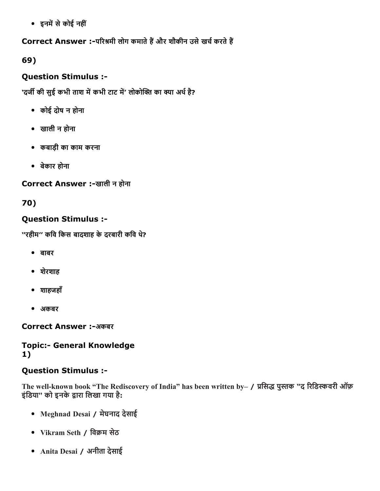• इनमें से कोई नहीं

Correct Answer :-परिश्रमी लोग कमाते हैं और शौकीन उसे खर्च करते हैं

69)

## Question Stimulus :

'दर्जी की सुई कभी ताश में कभी टाट में' लोकोक्ति का क्या अर्थ है?

- कोई दोष न होना
- खाली न होना
- कबाड़ी का काम करना
- बेकार होना

Correct Answer :-खाली न होना

70)

## Question Stimulus :

''रहीम'' किव िकस बादशाह केदरबारी किव थ?े

- बाबर
- शेरशाह
- शाहजहाँ
- अकबर

Correct Answer :-अकबर

## **Topic:- General Knowledge** 1)

## Question Stimulus :

The well-known book "The Rediscovery of India" has been written by– / प्रसिद्ध पुस्तक "द रिडिस्कवरी ऑफ़ इंडिया" को इनके द्वारा लिखा गया है:

- Meghnad Desai / मेघनाद देसाई
- Vikram Seth / विक्रम सेठ
- Anita Desai / अनीता देसाई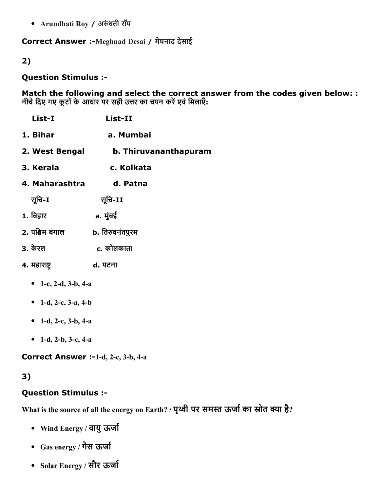• Arundhati Roy / अरुंधती रॉय

Correct Answer :-Meghnad Desai / मेघनाद देसाई

2)

#### Question Stimulus :

Match the following and select the correct answer from the codes given below: : नीचे दिए गए कूटों के आधार पर सही उत्तर का चयन करें एवं मिलाएँ:

| List-I                  | <b>List-II</b>        |
|-------------------------|-----------------------|
| 1. Bihar                | a. Mumbai             |
| 2. West Bengal          | b. Thiruvananthapuram |
| 3. Kerala               | c. Kolkata            |
| 4. Maharashtra          | d. Patna              |
| सूचि-I                  | सूचि-II               |
| 1. बिहार                | a. मुंबई              |
| 2. पश्चिम बंगाल         | b. तिरुवनंतपुरम       |
| 3. केरल                 | c. कोलकाता            |
| 4. महाराष्ट्र           | d. पटना               |
| 1-c, 2-d, $3-b$ , $4-a$ |                       |

- 1-d, 2-c,  $3-a$ ,  $4-b$
- 1-d, 2-c, 3-b, 4-a
- 1-d, 2-b, 3-c, 4-a

Correct Answer :-1-d, 2-c, 3-b, 4-a

## 3)

#### Question Stimulus :

What is the source of all the energy on Earth? / पृथ्वी पर समस्त ऊजो का स्रोत क्या है?

- Wind Energy / वायु ऊर्जा
- Gas energy / गैस ऊर्जा
- Solar Energy / सौर ऊर्जा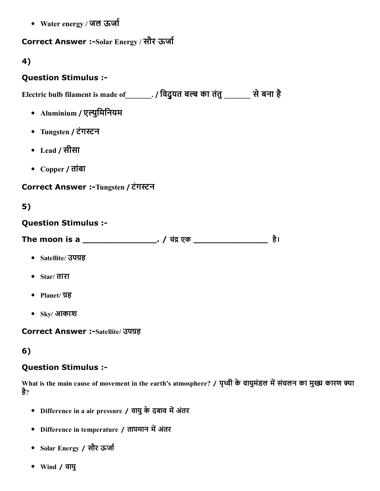• Water energy / जल ऊर्जा

## Correct Answer :-Solar Energy / सौर ऊर्जा

#### 4)

#### Question Stimulus :

Electric bulb filament is made of \_\_\_\_\_\_\_. / विदुयत बल्ब का तंतु \_\_\_\_\_\_\_ से बना है

- Aluminium / एल्युमिनियम
- Tungsten / टंगस्टन
- Lead / सीसा
- Copper / तांबा

### Correct Answer :-Tungsten / टंगस्टन

## 5)

#### Question Stimulus :

The moon is a \_\_\_\_\_\_\_\_\_\_\_\_\_\_\_\_\_\_. / चंद्र एक \_\_\_\_\_\_\_\_\_\_\_\_\_\_\_\_\_\_\_\_\_\_\_\_\_\_ है।

- Satellite/ उपग्रह
- Star/ तारा
- Planet/ ग्रह
- Sky/ आकाश

**Correct Answer :-Satellite/ उपग्रह** 

## 6)

## Question Stimulus :

What is the main cause of movement in the earth's atmosphere? / पृथ्वी के वायुमंडल में संचलन का मुख्य कारण क्या है?

- Difference in a air pressure / वायु के दबाव में अंतर
- Difference in temperature / तापमान में अंतर
- Solar Energy / सौर ऊर्जा
- Wind / वायु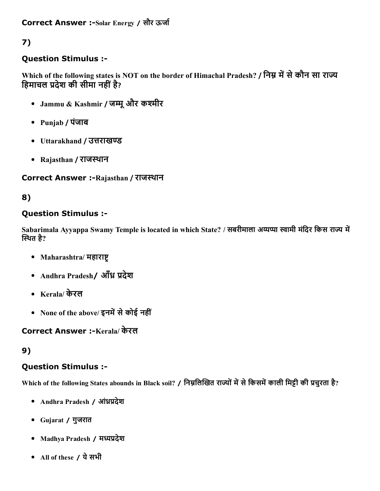## Question Stimulus :

Which of the following states is NOT on the border of Himachal Pradesh? / निम्न में से कौन सा राज्य हिमाचल प्रदेश की सीमा नहीं है?

- Jammu & Kashmir / जम्मू और कश्मीर
- Punjab / पंजाब
- Uttarakhand / उत्तराखण्ड
- Rajasthan / राजस्थान

## Correct Answer :-Rajasthan / राजस्थान

## 8)

## Question Stimulus :

Sabarimala Ayyappa Swamy Temple is located in which State? / सबरीमाला अय्यप्पा स्वामी मंदिर किस राज्य में स्थित है?

- Maharashtra/ महाराष्ट
- Andhra Pradesh/ आँध्र प्रदेश
- Kerala/ केरल
- None of the above/ इनमें से कोई नहीं

## Correct Answer :-Kerala/ केरल

## 9)

## Question Stimulus :

Which of the following States abounds in Black soil? / निम्नलिखित राज्यों में से किसमें काली मिट्टी की प्रचुरता है?

- Andhra Pradesh / ऑध्रप्रदेश
- Gujarat / गुजरात
- Madhya Pradesh / मध्यप्रदेश
- All of these / येसभी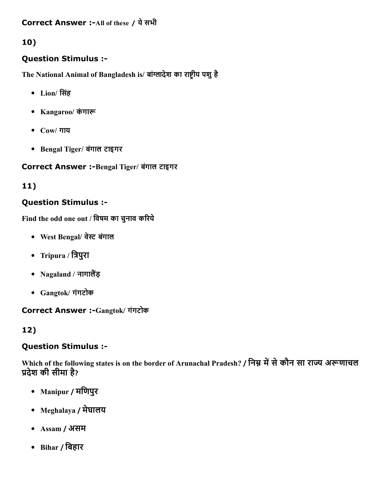#### Correct Answer :- All of these / ये सभी

## 10)

## Question Stimulus :

The National Animal of Bangladesh is/ बांग्लादेश का राष्ट्रीय पशु है

- Lion/ िसंह
- Kangaroo/ कंगारू
- Cow/ गाय
- Bengal Tiger/ बंगाल टाइगर

#### Correct Answer :-Bengal Tiger/ बंगाल टाइगर

## 11)

### Question Stimulus :

Find the odd one out / विषम का चुनाव करिये

- West Bengal/ वेस्ट बंगाल
- Tripura / त्रिपुरा
- Nagaland / नागालैंड़
- Gangtok/ गंगटोक

#### Correct Answer :Gangtok/ गंगटोक

## 12)

#### Question Stimulus :

Which of the following states is on the border of Arunachal Pradesh? / निम्न में से कौन सा राज्य अरूणाचल प्रदेश की सीमा है?

- Manipur / मिणपुर
- Meghalaya / मेघालय
- Assam / असम
- Bihar / िबहार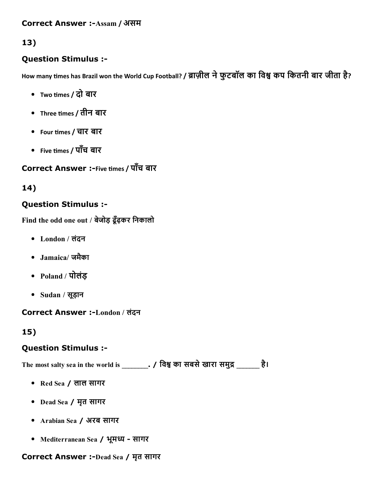#### Correct Answer :-Assam / असम

## 13)

### Question Stimulus :

How many times has Brazil won the World Cup Football? / ब्राज़ील ने फुटबॉल का विश्व कप कितनी बार जीता है?

- Two times / दो बार
- Three times / तीन बार
- Four times / चार बार
- Five times / पाँच बार

## Correct Answer :-Five times / पाँच बार

## 14)

## Question Stimulus :

Find the odd one out / बेजोड़ ढूँढ़कर िनकालो

- London / लंदन
- Jamaica/ जमैका
- Poland / पोलंड़
- Sudan / सूड़ान

#### Correct Answer :London / लंदन

## 15)

## Question Stimulus :

The most salty sea in the world is \_\_\_\_\_\_\_\_. / विश्व का सबसे खारा समुद्र \_\_\_\_\_\_\_ है।

- Red Sea / लाल सागर
- Dead Sea / मृत सागर
- Arabian Sea / अरब सागर
- Mediterranean Sea / भूमध्य सागर

#### Correct Answer :-Dead Sea / मृत सागर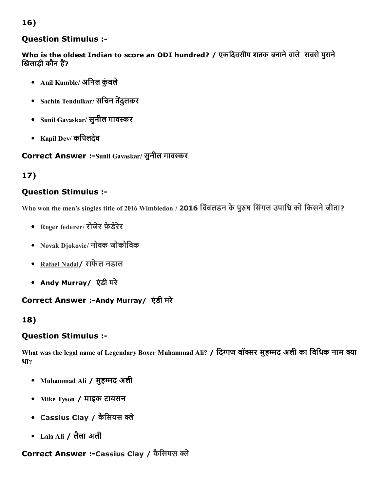## Question Stimulus :

Who is the oldest Indian to score an ODI hundred? / एकदिवसीय शतक बनाने वाले सबसे पुराने खिलाड़ी कौन हैं?

- Anil Kumble/ अनिल कुंबले
- Sachin Tendulkar/ सचिन तेंदुलकर
- Sunil Gavaskar/ सुनील गावस्कर
- Kapil Dev/ किपलदेव

Correct Answer :-Sunil Gavaskar/ सुनील गावस्कर

## 17)

### Question Stimulus :

Who won the men's singles title of 2016 Wimbledon / 2016 विंबलडन के पुरुष सिंगल उपाधि को किसने जीता?

- Roger federer/ रोजेर फ़ेडेरेर
- Novak Djokovic/ नोवक जोकोिवक
- Rafael Nadal/ राफेल नडाल
- Andy Murray/ एंडी मरे

#### Correct Answer :-Andy Murray/ एंडी मरे

## 18)

#### Question Stimulus :

What was the legal name of Legendary Boxer Muhammad Ali? / दिग्गज बॉक्सर मुहम्मद अली का विधिक नाम क्या था?

- Muhammad Ali / मुहम्मद अली
- Mike Tyson / माइक टायसन
- Cassius Clay / कैसियस क्ले
- Lala Ali / लैला अली

## Correct Answer :-Cassius Clay / कैसियस क्ले

#### 16)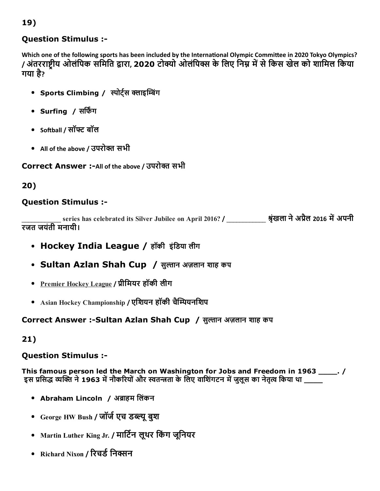## Question Stimulus :

Which one of the following sports has been included by the International Olympic Committee in 2020 Tokyo Olympics? / अंतरराष्ट्रीय ओलंपिक समिति द्वारा, 2020 टोक्यो ओलंपिक्स के लिए निम्न में से किस खेल को शामिल किया गया है ?

- Sports Climbing / स्पोर्ट्स क्लाइम्बिंग
- Surfing / सर्फिंग
- So├ball / सॉ猁䈀 बॉल
- All of the above / उपरोक्त सभी

## Correct Answer :-All of the above / उपरोक्त सभी

20)

### Question Stimulus :

series has celebrated its Silver Jubilee on April 2016? / 3 अंखला ने अप्रैल 2016 में अपनी रजत जयंती मनायी।

- Hockey India League / हॉकी इंिडया लीग
- Sultan Azlan Shah Cup / सुल्तान अज़लान शाह कप
- Premier Hockey League / 撫カीिमयर हॉकी लीग
- Asian Hockey Championship / एशियन हॉकी चैम्पियनशिप

## Correct Answer :-Sultan Azlan Shah Cup / सुल्तान अज़लान शाह कप

21)

#### Question Stimulus :

This famous person led the March on Washington for Jobs and Freedom in 1963 \_\_\_\_. / इस प्रसिद्ध व्यक्ति ने 1963 में नौकरियों और स्वतन्त्रता के लिए वाशिंगटन में जुलूस का नेतृत्व किया था \_\_\_\_\_

- Abraham Lincoln / अब्राहम लिंकन
- George HW Bush / जॉर्ज एच डब्ल्यू बुश
- Martin Luther King Jr. / मार्टिन लूथर किंग जूनियर
- Richard Nixon / रिचर्ड निक्सन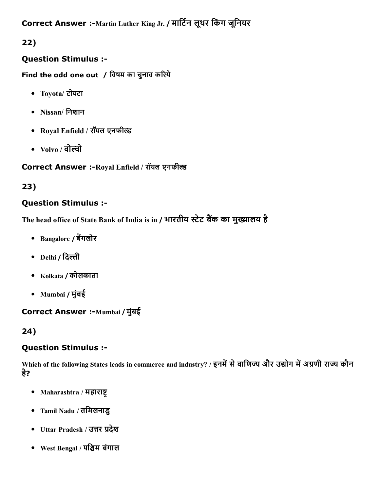Correct Answer :-Martin Luther King Jr. / मार्टिन लूथर किंग जूनियर

22)

## Question Stimulus :

Find the odd one out / विषम का चुनाव करिये

- Toyota/ टोयटा
- Nissan/ िनशान
- Royal Enfield / रॉयल एनफील्ड
- $\bullet$  Volvo / वोल्वो

Correct Answer :- Royal Enfield / रॉयल एनफील्ड

## 23)

## Question Stimulus :

The head office of State Bank of India is in / भारतीय स्टेट बैंक का मुख्यालय है

- Bangalore / बैंगलोर
- $\bullet$  Delhi / दिल्ली
- Kolkata / कोलकाता
- Mumbai / मुंबई

## Correct Answer :- Mumbai / मुंबई

## 24)

## Question Stimulus :

Which of the following States leads in commerce and industry? / इनमें से वाणिज्य और उद्योग में अग्रणी राज्य कौन है?

- $\bullet$  Maharashtra / महाराष्ट्
- Tamil Nadu / तिमलनाडु
- Uttar Pradesh / उत्तर प्रदेश
- West Bengal / पि恪म बंगाल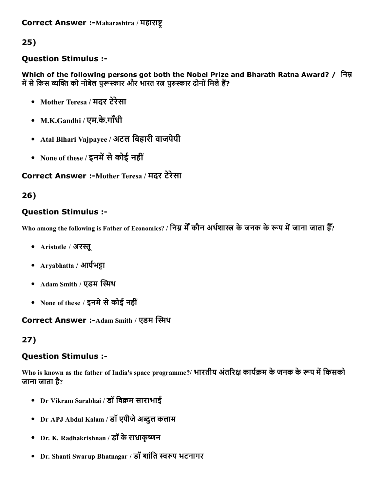### Question Stimulus :

Which of the following persons got both the Nobel Prize and Bharath Ratna Award? / निम्न में से किस व्यक्ति को नोबेल पुरूस्कार और भारत रत्न पुरुस्कार दोनों मिले हैं?

- Mother Teresa / मदर टेरेसा
- M.K.Gandhi / एम.के.गाँधी
- Atal Bihari Vajpayee / अटल िबहारी वाजपेयी
- None of these / इनमें से कोई नहीं

## Correct Answer :-Mother Teresa / मदर टेरेसा

## 26)

## Question Stimulus :

Who among the following is Father of Economics? / निम्न मेँ कौन अर्थशास्त्र के जनक के रूप में जाना जाता हैँ?

- Aristotle / अरस्तू
- $Aryabhatta / 3\pi\mathbf{H}$ भट्टा
- Adam Smith / एडम स्मिथ
- None of these / इनमे से कोई नहीं

Correct Answer :-Adam Smith / एडम स्मिथ

## 27)

## Question Stimulus :

Who is known as the father of India's space programme?/ भारतीय अंतरिक्ष कार्यक्रम के जनक के रूप में किसको जाना जाता है?

- Dr Vikram Sarabhai / डॉ विक्रम साराभाई
- Dr APJ Abdul Kalam / डॉ एपीजे अब्दुल कलाम
- Dr. K. Radhakrishnan / डॉ के राधाकृष्णन
- Dr. Shanti Swarup Bhatnagar / डॉ शांति स्वरुप भटनागर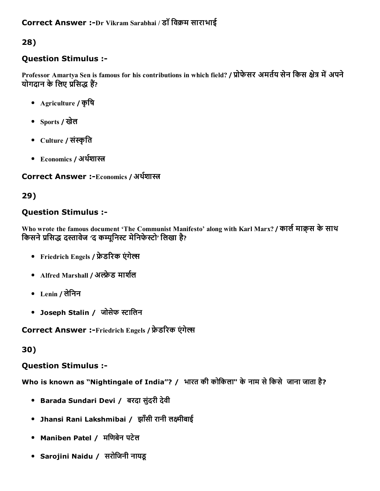## Question Stimulus :

Professor Amartya Sen is famous for his contributions in which field? / प्रोफेसर अमर्तय सेन किस क्षेत्र में अपने योगदान के लिए प्रसिद्ध हैं?

- Agriculture / कृिष
- Sports / खेल
- Culture / संस्कृति
- Economics / अर्थशास्त्र

#### Correct Answer :-Economics / अर्थशास्त्र

## 29)

## Question Stimulus :

Who wrote the famous document 'The Communist Manifesto' along with Karl Marx? / कार्ल माक्र्स के साथ किसने प्रसिद्ध दस्तावेज 'द कम्युनिस्ट मेनिफेस्टो' लिखा है?

- Friedrich Engels / फ्रेडरिक एंगेल्स
- Alfred Marshall / अल्फ्रेड मार्शल
- Lenin / लेिनन
- Joseph Stalin / जोसेफ स्टालिन

Correct Answer :-Friedrich Engels / फ्रेडरिक एंगेल्स

30)

## Question Stimulus :

Who is known as "Nightingale of India"? / भारत की कोकिला" के नाम से किसे जाना जाता है?

- Barada Sundari Devi / बरदा सुंदरी देवी
- Jhansi Rani Lakshmibai / झाँसी रानी लक्ष्मीबाई
- Maniben Patel / मिणबेन पटेल
- Sarojini Naidu / सरोिजनी नायडू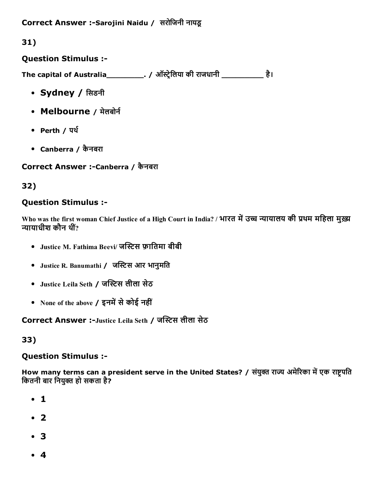Correct Answer :-Sarojini Naidu / सरोजिनी नायडू

31)

Question Stimulus :

The capital of Australia\_\_\_\_\_\_\_\_\_\_. / ऑस्ट्रेलिया की राजधानी \_\_\_\_\_\_\_\_\_\_\_\_ है।

- Sydney / सिडनी
- Melbourne / मेलबोर्न
- Perth / पर्थ
- Canberra / कैनबरा

## Correct Answer :-Canberra / कैनबरा

## 32)

## Question Stimulus :

Who was the first woman Chief Justice of a High Court in India? / भारत में उच्च न्यायालय की प्रथम महिला मुख्य न्यायाधीश कौन थीं $\overline{?}$ 

- Justice M. Fathima Beevi/ जस्टिस फ़ातिमा बीबी
- Justice R. Banumathi / जस्टिस आर भानुमति
- Justice Leila Seth / जस्टिस लीला सेठ
- None of the above / इनमें से कोई नहीं

Correct Answer :-Justice Leila Seth / जस्टिस लीला सेठ

## 33)

## Question Stimulus :

How many terms can a president serve in the United States? / संयुक्त राज्य अमेरिका में एक राष्ट्रपति कितनी बार नियुक्त हो सकता है?

- 1
- 2
- 3
- 4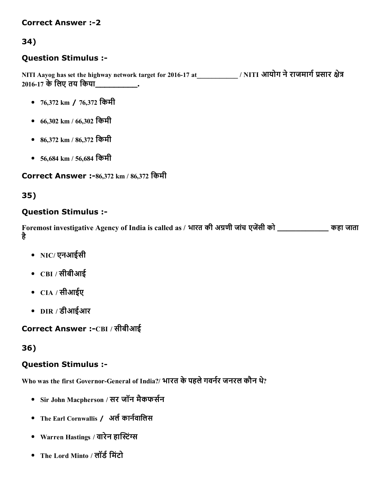#### **Correct Answer :-2**

## 34)

### Question Stimulus :

NITI Aayog has set the highway network target for 2016-17 at\_\_\_\_\_\_\_\_\_\_\_\_\_ / NITI आयोग ने राजमार्ग प्रसार क्षेत्र 2016-17 के लिए तय किया

- 76,372 km / 76,372 किमी
- 66,302 km / 66,302 िकमी
- 86,372 km / 86,372 िकमी
- 56,684 km / 56,684 िकमी

#### Correct Answer :-86,372 km / 86,372 किमी

## 35)

### Question Stimulus :

Foremost investigative Agency of India is called as / भारत की अग्रणी जांच एजेंसी को \_\_\_\_\_\_\_\_\_\_\_\_\_\_ कहा जाता है

- NIC/ एनआईसी
- CBI / सीबीआई
- CIA / सीआईए
- DIR / डीआईआर

Correct Answer :-CBI / सीबीआई

#### 36)

## Question Stimulus :

Who was the first Governor-General of India?/ भारत के पहले गवर्नर जनरल कौन थे?

- Sir John Macpherson / सर जॉन मैकफर्सन
- The Earl Cornwallis / अर्ल कार्नवालिस
- Warren Hastings / वारेन हास्टिंग्स
- The Lord Minto / लॉर्ड मिंटो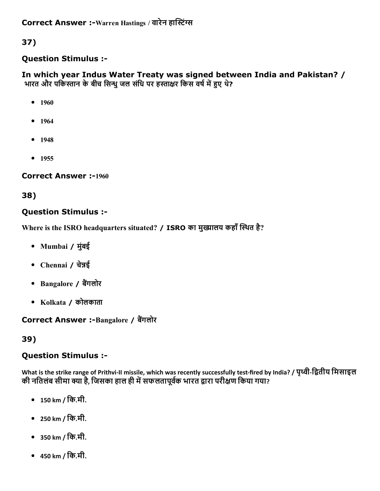### Question Stimulus :

In which year Indus Water Treaty was signed between India and Pakistan? / भारत और पर्किस्तान के बीच सिन्धु जल संधि पर हस्ताक्षर किस वर्ष में हुए थे?

- $-1960$
- 1964
- $-1948$
- $1955$

**Correct Answer :-1960** 

## 38)

### Question Stimulus :

Where is the ISRO headquarters situated? / ISRO का मुख्यालय कहाँ स्थित है?

- Mumbai / मुंबई
- Chennai / चेन्नई
- Bangalore / बैंगलोर
- Kolkata / कोलकाता

#### Correct Answer :-Bangalore / बैंगलोर

## 39)

#### Question Stimulus :

What is the strike range of Prithvi-II missile, which was recently successfully test-fired by India? / पृथ्वी-द्वितीय मिसाइल कालिक कोट साल साहुट से सामाने मालाइलेस, मालिम मेंडर स्टेटमाल, स्टेटस्टेंसी, स्टेट माउट टे,<br>की नतिलंब सीमा क्या है, जिसका हाल ही में सफलतापूर्वक भारत द्वारा परीक्षण किया गया?

- 150 km / िक.मी.
- 250 km / िक.मी.
- 350 km / िक.मी.
- 450 km / िक.मी.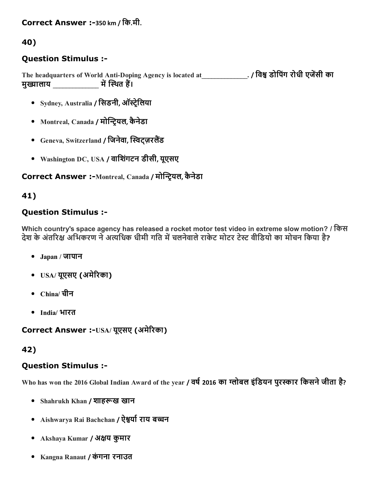## Correct Answer :-350 km / कि.मी.

#### 40)

#### Question Stimulus :

The headquarters of World Anti-Doping Agency is located at\_\_\_\_\_\_\_\_\_\_\_\_\_. / विश्व डोपिंग रोधी एजेंसी का मुꈏालाय \_\_\_\_\_\_\_\_\_\_\_\_\_\_ म瀠帠켥찥渎氎थत ह初।

- Sydney, Australia / सिडनी, ऑस्ट्रेलिया
- Montreal, Canada / मोन्ट्रियल, कैनेडा
- Geneva, Switzerland / जिनेवा, स्विट्ज़रलैंड
- Washington DC, USA / वािशगंटन डीसी, यूएसए

### Correct Answer :-Montreal, Canada / मोन्ट्रियल, कैनेडा

#### 41)

### Question Stimulus :

Which country's space agency has released a rocket motor test video in extreme slow motion? / िकस देश के अंतरिक्ष अभिकरण ने अत्यधिक धीमी गति में चलनेवाले राकेट मोटर टेस्ट वीडियो का मोचन किया है?

- Japan / जापान
- USA/ यूएसए (अमेरिका)
- China/ चीन
- India/ भारत

Correct Answer :-USA/ यूएसए (अमेरिका)

#### 42)

#### Question Stimulus :

Who has won the 2016 Global Indian Award of the year / वर्ष 2016 का ग्लोबल इंडियन पुरस्कार किसने जीता है?

- Shahrukh Khan / शाहरूख खान
- Aishwarya Rai Bachchan / ऐश्वर्या राय बच्चन
- Akshaya Kumar / अक्षय कुमार
- Kangna Ranaut / कंगना रनाउत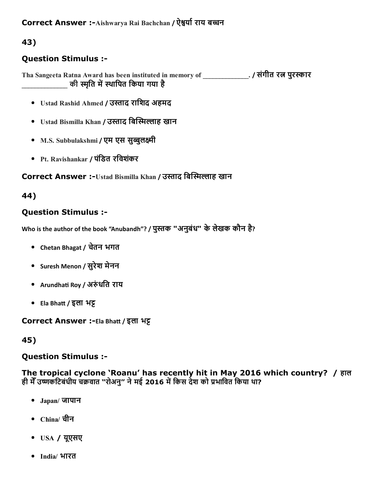## Question Stimulus :

Tha Sangeeta Ratna Award has been instituted in memory of \_\_\_\_\_\_\_\_\_\_\_\_\_\_. / संगीत रत्न पुरस्कार की स्मृति में स्थापित किया गया है

- Ustad Rashid Ahmed / उस्ताद राशिद अहमद
- Ustad Bismilla Khan / उस्ताद बिस्मिल्लाह खान
- M.S. Subbulakshmi / एम एस सुब्बुलक्ष्मी
- Pt. Ravishankar / पंिडत रिवशकंर

### Correct Answer :-Ustad Bismilla Khan / उस्ताद बिस्मिल्लाह खान

#### 44)

#### Question Stimulus :

Who is the author of the book "Anubandh"? / पुस्तक "अनुबंध" के लेखक कौन है?

- Chetan Bhagat / चतेन भगत
- Suresh Menon / सुरेश मेनन
- Arundhati Roy / अरुंधति राय
- Ela Bhatt / इला भट्ट

Correct Answer :-Ela Bhatt / इला भट्ट

#### 45)

#### Question Stimulus :

The tropical cyclone 'Roanu' has recently hit in May 2016 which country? / हाल ही मेँ उष्णकटिबंधीय चक्रवात "रोअनु" ने मई 2016 में किस देश को प्रभावित किया था?

- Japan/ जापान
- China/ चीन
- USA / यूएसए
- India/ भारत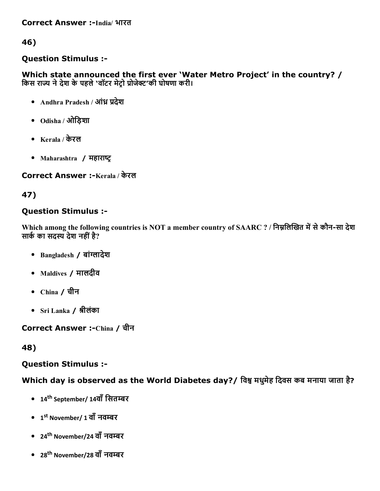Correct Answer :-India/ भारत

46)

#### Question Stimulus :

Which state announced the first ever 'Water Metro Project' in the country? / किस राज्य ने देश के पहले 'वॉटर मेटो प्रोजेक्ट'की घोषणा करी।

- Andhra Pradesh / आंध्र प्रदेश
- Odisha / ओिड़शा
- Kerala / केरल
- Maharashtra / महाराष्ट्र

Correct Answer :-Kerala / केरल

## 47)

## Question Stimulus :

Which among the following countries is NOT a member country of SAARC ? / निम्नलिखित में से कौन-सा देश सार्क का सदस्य देश नहीं है?

- Bangladesh / बांग्लादेश
- Maldives / मालदीव
- China / चीन
- Sri Lanka / 룾ीलंका

Correct Answer :-China / चीन

48)

## Question Stimulus :

Which day is observed as the World Diabetes day? / विश्व मधुमेह दिवस कब मनाया जाता है?

- 14<sup>th</sup> September/ 14वाँ सितम्बर
- 1<sup>st</sup> November/ 1 वाँ नवम्बर
- 24<sup>th</sup> November/24 वाँ नवम्बर
- 28<sup>th</sup> November/28 वाँ नवम्बर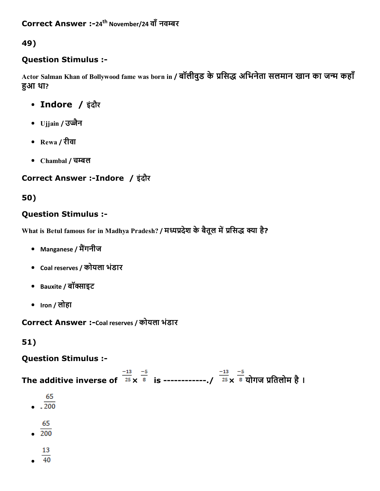## Question Stimulus :

Actor Salman Khan of Bollywood fame was born in / बॉलीवुड के प्रसिद्ध अभिनेता सलमान खान का जन्म कहाँ हुआ था?

- Indore / इंदौर
- Ujjain / उज्जैन
- Rewa / रीवा
- Chambal / चम्बल

## Correct Answer :Indore / इंदौर

## 50)

## Question Stimulus :

What is Betul famous for in Madhya Pradesh? / मध्यप्रदेश के बैतूल में प्रसिद्ध क्या है?

- Manganese / मैंगनीज
- Coal reserves / कोयला भंडार
- Bauxite / बॉक्साइट
- Iron / लोहा

Correct Answer :-Coal reserves / कोयला भंडार

## 51)

## Question Stimulus :

The additive inverse of  $\frac{-13}{25} \times \frac{-5}{8}$  is ------------./  $\frac{-13}{25} \times \frac{-5}{8}$  योगज प्रतिलोम है। 65 ‐65  $\overline{200}$ 13  $40$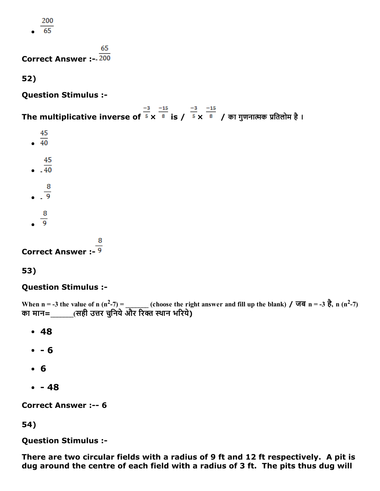200

65

65

Correct Answer :‐

52)

Question Stimulus :

The multiplicative inverse of  $\frac{-3}{5} \times \frac{-15}{8}$  is /  $\frac{-3}{5} \times \frac{-15}{8}$  / का गुणनात्मक प्रतिलोम है ।

- 45
- $\overline{40}$
- 45  $\frac{1}{40}$
- 
- $\frac{8}{9}$
- $rac{8}{9}$
- 

Correct Answer :

53)

## Question Stimulus :

When n = -3 the value of n (n<sup>2</sup>-7) = (choose the right answer and fill up the blank) / जब n = -3 है, n (n<sup>2</sup>-7) का मान=\_\_\_\_\_\_(सही उत्तर चुनिये और रिक्त स्थान भरिये)

- 48
- $-6$
- 6
- $-48$

**Correct Answer :-- 6** 

54)

Question Stimulus :

There are two circular fields with a radius of 9 ft and 12 ft respectively. A pit is dug around the centre of each field with a radius of 3 ft. The pits thus dug will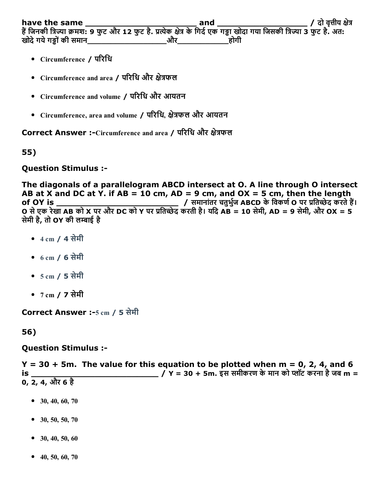have the same \_\_\_\_\_\_\_\_\_\_\_\_\_\_\_\_\_\_\_\_\_ and \_\_\_\_\_\_\_\_\_\_\_\_\_\_\_\_\_ / दो वृ謁褁ीय ꏪ㳪े琬測 हो के उनकी त्रिज्या क्रमश: 9 फुट और 12 फुट है. प्रत्येक क्षेत्र के गिर्द एक गड्ढा खोदा गया जिसकी त्रिज्या 3 फुट है. अत: खोदे गये गड्ढों की समान $\qquad \qquad \qquad$ और $\qquad \qquad$ होगी

- Circumference / परिधि
- Circumference and area / परिधि और क्षेत्रफल
- Circumference and volume / परिधि और आयतन
- Circumference, area and volume / परिधि, क्षेत्रफल और आयतन

Correct Answer :-Circumference and area / परिधि और क्षेत्रफल

55)

Question Stimulus :

The diagonals of a parallelogram ABCD intersect at O. A line through O intersect AB at X and DC at Y. if AB = 10 cm, AD = 9 cm, and  $OX = 5$  cm, then the length of OY is \_\_\_\_\_\_\_\_\_\_\_\_\_\_\_\_\_\_\_\_\_\_\_ / समानांतर चतुभु혟ज ABCD केिवकण혟O पर 撫カित刎ेद करतेह初। O से एक रेखा AB को X पर और DC को Y पर प्रतिच्छेद करती है। यदि AB = 10 सेमी, AD = 9 सेमी, और OX = 5 सेमी है, तो OY की लम्बाई है

- 4 cm / 4 सेमी
- 6 cm / 6 सेमी
- 5 cm / 5 सेमी
- 7 cm / 7 सेमी

Correct Answer :-5 cm / 5 सेमी

56)

Question Stimulus :

 $Y = 30 + 5$ m. The value for this equation to be plotted when  $m = 0$ , 2, 4, and 6 is \_\_\_\_\_\_\_\_\_\_\_\_\_\_\_\_\_\_\_\_\_\_\_\_ / Y = 30 + 5m. इस समीकरण केमान को 渁洁ॉट करना हैजब m = 0, 2, 4, और 6 है

- $\bullet$  30, 40, 60, 70
- $\bullet$  30, 50, 50, 70
- $\bullet$  30, 40, 50, 60
- $-40, 50, 60, 70$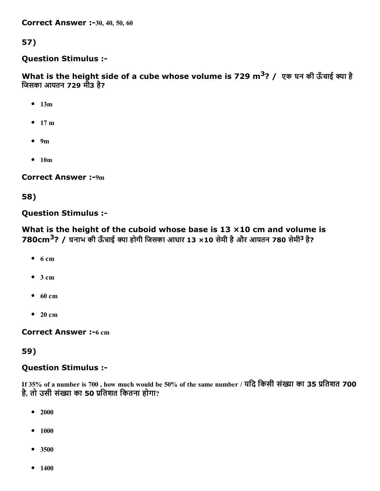**Correct Answer :-30, 40, 50, 60** 

57)

#### Question Stimulus :

What is the height side of a cube whose volume is 729 m<sup>3</sup>? / एक घन की ऊँचाई क्या है िजसका आयतन 729 मी3 है?

- $-13m$
- $-17 m$
- $9m$
- $-10m$

**Correct Answer :-9m** 

58)

#### Question Stimulus :

What is the height of the cuboid whose base is  $13 \times 10$  cm and volume is 780cm<sup>3</sup>? / घनाभ की ऊँचाई क्या होगी जिसका आधार 13 ×10 सेमी है और आयतन 780 सेमी<sup>3</sup> है?

- $6 cm$
- $3 cm$
- $-60$  cm
- $\bullet$  20 cm

**Correct Answer :-6 cm** 

#### 59)

#### Question Stimulus :

If 35% of a number is 700, how much would be 50% of the same number / यदि किसी संख्या का 35 प्रतिशत 700 है, तो उसी संख्या का 50 प्रतिशत कितना होगा?

- $-2000$
- $1000$
- 3500
- $1400$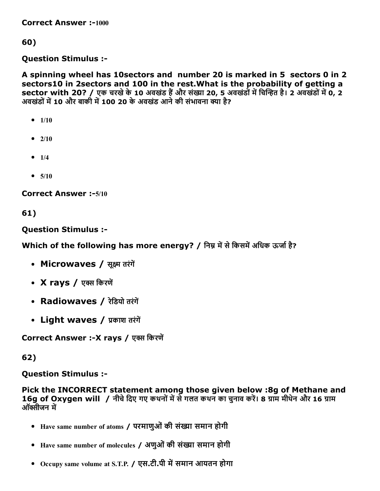Correct Answer :-1000

60)

Question Stimulus :

A spinning wheel has 10sectors and number 20 is marked in 5 sectors 0 in 2 sectors10 in 2sectors and 100 in the rest.What is the probability of getting a sector with 20? / एक चरखे के 10 अवखंड हैं और संख्या 20, 5 अवखंडों में चिन्हित है। 2 अवखंडों में 0, 2 अवखंडों में 10 और बाकी में 100 20 के अवखंड आने की संभावना क्या है?

```
-1/10
```
- $2/10$
- $1/4$
- $5/10$

**Correct Answer :-5/10** 

61)

Question Stimulus :

Which of the following has more energy? / निम्न में से किसमें अधिक ऊर्जा है?

- Microwaves / सूक्ष्म तरंगें
- X rays / एक्स किरणें
- Radiowaves / रेडियो तरंगें
- Light waves / प्रकाश तरंगें

Correct Answer :-X rays / एक्स किरणें

62)

Question Stimulus :

Pick the INCORRECT statement among those given below :8g of Methane and 16g of Oxygen will / नीचे दिए गए कथनों में से गलत कथन का चुनाव करें। 8 ग्राम मीथेन और 16 ग्राम ऑक्सीजन में

- Have same number of atoms / परमाणुओं की संख्या समान होगी
- Have same number of molecules / अणुओं की संख्या समान होगी
- Occupy same volume at S.T.P. / एस.टी.पी में समान आयतन होगा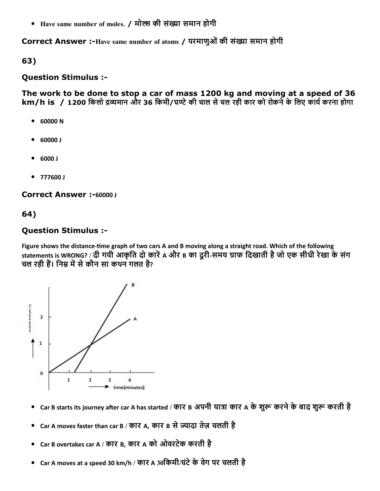• Have same number of moles. / मोल्स की संख्या समान होगी

Correct Answer :-Have same number of atoms / परमाणुओं की संख्या समान होगी

63)

#### Question Stimulus :

The work to be done to stop a car of mass 1200 kg and moving at a speed of 36 km/h is / 1200 किलो द्रव्यमान और 36 किमी/घण्टे की चाल से चल रही कार को रोकने के लिए कार्य करना होगा

- 60000 N
- 60000 J
- 6000 J
- 777600 J

Correct Answer :-60000 J

#### 64)

#### Question Stimulus :

Figure shows the distance-time graph of two cars A and B moving along a straight road. Which of the following statements is WRONG? / दी गयी आकृति दो कारें A और B का दूरी-समय ग्राफ दिखाती है जो एक सीधी रेखा के संग चल रही हैं। निम्न में से कौन सा कथन गलत है?



- Car B starts its journey after car A has started / कार B अपनी यात्रा कार A के शुरू करने के बाद शुरू करती है
- Car A moves faster than car B / कार A, कार B से ज्यादा तेज़ चलती है  $\bullet$
- Car B overtakes car A / कार B, कार A को ओवरटेक करती है
- Car A moves at a speed 30 km/h / कार A 30िकमी/घंटेकेवेग पर चलती है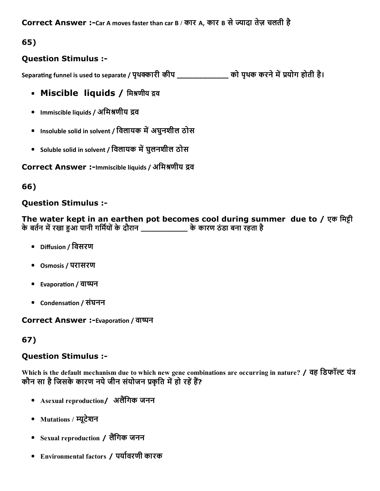## Question Stimulus :

Separating funnel is used to separate / पृथक्कारी कीप \_\_\_\_\_\_\_\_\_\_\_\_\_\_\_ को पृथक करने में प्रयोग होती है।

- Miscible liquids / मिश्रणीय द्रव
- Immiscible liquids / अमिश्रणीय द्रव
- Insoluble solid in solvent / विलायक में अघुनशील ठोस
- Soluble solid in solvent / विलायक में घुलनशील ठोस

Correct Answer :-Immiscible liquids / अमिश्रणीय द्रव

## 66)

## Question Stimulus :

The water kept in an earthen pot becomes cool during summer due to / एक मिट्टी केबत혟न म瀠帠रखा ဣȣआ पानी गिम혟योंकेदौरान \_\_\_\_\_\_\_\_\_\_ केकारण ठंडा बना रहता है

- Diffusion / िवसरण
- Osmosis / परासरण
- Evaporaĕon / वाᤆ뼆न
- Condensation / संघनन

Correct Answer :-Evaporation / वाष्पन

## 67)

## Question Stimulus :

Which is the default mechanism due to which new gene combinations are occurring in nature? / वह डिफॉल्ट यंत्र कौन सा है जिसके कारण नये जीन संयोजन प्रकृति में हो रहें हैं?

- Asexual reproduction/ अलैंगिक जनन
- Mutations / म्यूटेशन
- Sexual reproduction / लैंगिक जनन
- Environmental factors / पर्यावरणी कारक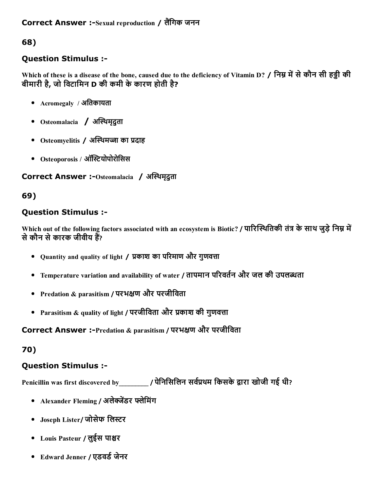### Correct Answer :-Sexual reproduction / लैंगिक जनन

68)

## Question Stimulus :

Which of these is a disease of the bone, caused due to the deficiency of Vitamin D? / निम्न में से कौन सी हड़ी की बीमारी है, जो िवटािमन D की कमी केकारण होती है?

- $Acrom$ egaly / अतिकायता
- Osteomalacia / अस्थिमृदुता
- Osteomyelitis / अस्थिमज्जा का प्रदाह
- Osteoporosis / ऑस्टियोपोरोसिस

Correct Answer :-Osteomalacia / अस्थिमृदुता

#### 69)

### Question Stimulus :

Which out of the following factors associated with an ecosystem is Biotic? / पारिस्थितिकी तंत्र के साथ जुड़े निम्न में से कौन से कारक जीवीय हैं?

- $\bullet$  Ouantity and quality of light / प्रकाश का परिमाण और गुणवत्ता
- Temperature variation and availability of water / तापमान परिवर्तन और जल की उपलब्धता
- Predation & parasitism / परभꏪ㳪ण और परजीिवता
- Parasitism & quality of light / परजीविता और प्रकाश की गुणवत्ता

Correct Answer :-Predation & parasitism / परभक्षण और परजीविता

#### 70)

#### Question Stimulus :

Penicillin was first discovered by\_\_\_\_\_\_\_\_\_ / पेनिसिलिन सर्वप्रथम किसके द्वारा खोजी गई थी?

- Alexander Fleming / अलेक्जेंडर फ्लेमिंग
- Joseph Lister/ जोसेफ लिस्टर
- Louis Pasteur / लुईस पाश्चर
- Edward Jenner / एडवर्ड जेनर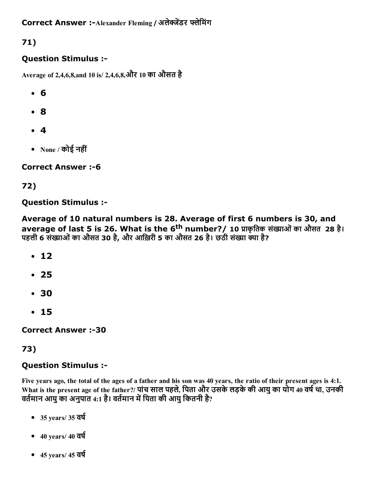Correct Answer :- Alexander Fleming / अलेक्जेंडर फ्लेमिंग

# 71)

## Question Stimulus :

Average of 2,4,6,8,and 10 is/ 2,4,6,8,और 10 का औसत है

- 6
- 8
- 4
- None / कोई नहीं

## **Correct Answer :- 6**

## 72)

## Question Stimulus :

Average of 10 natural numbers is 28. Average of first 6 numbers is 30, and average of last 5 is 26. What is the 6<sup>th</sup> number?/ 10 प्राकृतिक संख्याओं का औसत 28 है। पहली 6 संख्याओं का औसत 30 है, और आख़िरी 5 का औसत 26 है। छठी संख्या क्या है?

- $12$
- 25
- 30
- 15

**Correct Answer :-30** 

## 73)

## Question Stimulus :

Five years ago, the total of the ages of a father and his son was 40 years, the ratio of their present ages is 4:1. What is the present age of the father?/ पांच साल पहले, पिता और उसके लड़के की आयु का योग 40 वर्ष था, उनकी वर्तमान आयु का अनुपात 4:1 है। वर्तमान में पिता की आयु कितनी है?

- $-35$  years/ 35  $\overline{d}q$
- $-40$  years/ 40 वर्ष
- $-45$  years/  $45$  वर्ष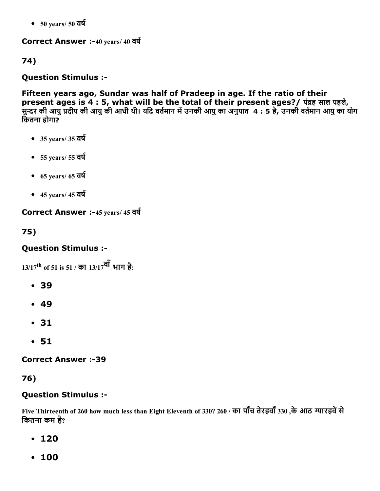$-50 \text{ years} / 50 \text{ qq}$ 

Correct Answer :-40 years/ 40 वर्ष

74)

Question Stimulus :

Fifteen years ago, Sundar was half of Pradeep in age. If the ratio of their present ages is 4 : 5, what will be the total of their present ages?/ पंद्रह साल पहले, सुन्दर की आयु प्रदीप की आयु की आधी थी। यदि वर्तमान में उनकी आयु का अनुपात 4 : 5 है, उनकी वर्तमान आयु का योग िकतना होगा?

- $\bullet$  35 years/35 वर्ष
- $-55$  years/ 55 वर्ष
- $-65$  years/  $65$  वर्ष
- $-45$  years/ 45 वर्ष

Correct Answer :-45 years/ 45 वर्ष

75)

## Question Stimulus :

13/17<sup>th</sup> of 51 is 51 / का 13/17<sup>वाँ</sup> भाग है:

- 39
- 49
- 31
- 51

**Correct Answer :-39** 

76)

## Question Stimulus :

Five Thirteenth of 260 how much less than Eight Eleventh of 330? 260 / का पाँच तेरहवाँ 330 ,के आठ ग्यारहवें से िकतना कम है?

- $-120$
- 100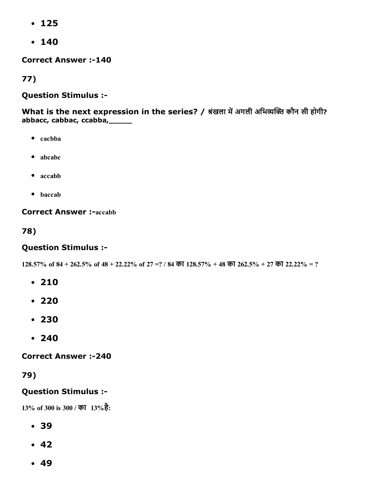- 125
- 140

**Correct Answer :-140** 

77)

#### Question Stimulus :

What is the next expression in the series? / श्रंखला में अगली अभिव्यक्ति कौन सी होगी? abbacc, cabbac, ccabba,\_\_\_\_\_

- $\bullet$  cacbba
- abcabc
- accabb
- baccab

**Correct Answer :-accabb** 

78)

## Question Stimulus :

 $128.57\%$  of  $84 + 262.5\%$  of  $48 + 22.22\%$  of  $27 = ?$  /  $84$  का  $128.57\% + 48$  का  $262.5\% + 27$  का  $22.22\% = ?$ 

- 210
- $-220$
- 230
- 240

**Correct Answer :-240** 

## 79)

## Question Stimulus :

13% of 300 is 300 / का 13%है:

- 39
- $-42$
- $-49$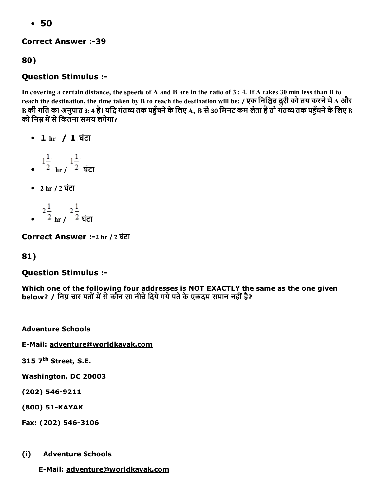50

**Correct Answer :-39** 

80)

## Question Stimulus :

In covering a certain distance, the speeds of A and B are in the ratio of 3 : 4. If A takes 30 min less than B to reach the destination, the time taken by B to reach the destination will be: / एक निश्चित दूरी को तय करने में A और B की गति का अनुपात 3: 4 है। यदि गंतव्य तक पहुँचने के लिए A, B से 30 मिनट कम लेता है तो गंतव्य तक पहुँचने के लिए B को निम्र में से कितना समय लगेगा?

- 1 hr / 1 घंटा
- $\frac{1}{2}$   $\frac{1}{2}$   $\frac{1}{2}$   $\frac{1}{2}$
- 2 hr / 2 घंटा
- $\frac{2\frac{1}{2}}{\frac{1}{2} \ln 7}$   $\frac{2\frac{1}{2}}{\frac{1}{2} \tan 7}$

Correct Answer :2 hr / 2 घंटा

## 81)

## Question Stimulus :

Which one of the following four addresses is NOT EXACTLY the same as the one given below? / निम्न चार पतों में से कौन सा नीचे दिये गये पते के एकदम समान नहीं है?

Adventure Schools

E-Mail: adventure@worldkayak.com

315 7<sup>th</sup> Street, S.E.

Washington, DC 20003

(202) 546-9211

(800) 51-KAYAK

Fax: (202) 546-3106

(i) Adventure Schools

E-Mail: adventure@worldkayak.com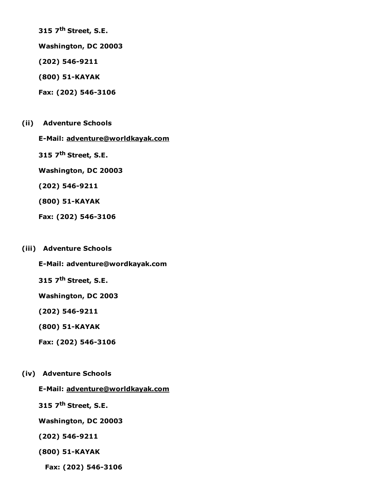315 7<sup>th</sup> Street, S.E.

Washington, DC 20003

(202) 546-9211

(800) 51-KAYAK

Fax: (202) 546-3106

(ii) Adventure Schools

E-Mail: adventure@worldkayak.com

315 7<sup>th</sup> Street, S.E.

Washington, DC 20003

(202) 546-9211

(800) 51-KAYAK

Fax: (202) 546-3106

#### (iii) Adventure Schools

E-Mail: adventure@wordkayak.com

315 7<sup>th</sup> Street, S.E.

Washington, DC 2003

(202) 546-9211

(800) 51-KAYAK

Fax: (202) 546-3106

#### (iv) Adventure Schools

E-Mail: adventure@worldkayak.com

315 7<sup>th</sup> Street, S.E.

Washington, DC 20003

(202) 546-9211

(800) 51-KAYAK

Fax: (202) 546-3106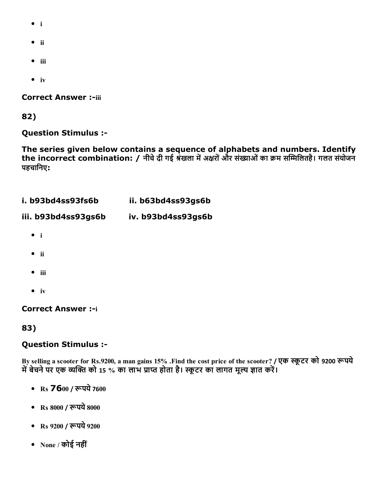- i
- $\bullet$  ii
- $\bullet$  iii
- $\bullet$  iv

**Correct Answer :-iii** 

82)

Question Stimulus :

The series given below contains a sequence of alphabets and numbers. Identify the incorrect combination: / नीचे दी गई श्रंखला में अक्षरों और संख्याओं का क्रम सम्मिलितहै। गलत संयोजन पहचािनए:

| i. b93bd4ss93fs6b   | ii. b63bd4ss93gs6b |
|---------------------|--------------------|
| iii. b93bd4ss93gs6b | iv. b93bd4ss93gs6b |
| $\bullet$ i         |                    |
| - ii                |                    |
| iii                 |                    |
| $\dot{I}V$          |                    |

**Correct Answer :- i** 

83)

#### Question Stimulus :

By selling a scooter for Rs.9200, a man gains 15% .Find the cost price of the scooter? / एक स्कूटर को 9200 रूपये में बेचने पर एक व्यक्ति को 15 % का लाभ प्राप्त होता है। स्कूटर का लागत मूल्य ज्ञात करें।

- Rs **76**00 / रूपये 7600
- Rs 8000 / रूपये 8000
- Rs 9200 / रूपये 9200
- None / कोई नहीं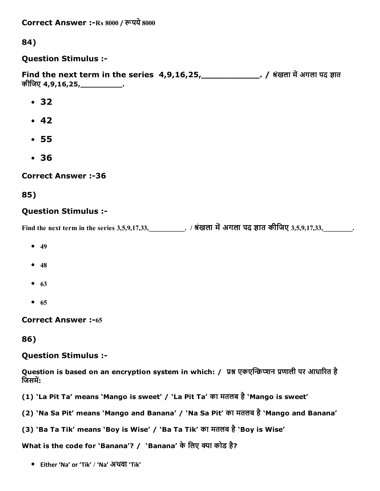Correct Answer :-Rs 8000 / रूपये 8000

84)

Question Stimulus :

Find the next term in the series  $4,9,16,25$ , 2020, 2022, 2022, 2031 में अगला पद ज्ञात कीिजए 4,9,16,25,\_\_\_\_\_\_\_\_\_.

- 32
- $-42$
- 55
- 36

**Correct Answer :-36** 

85)

### Question Stimulus :

Find the next term in the series 3,5,9,17,33,  $\qquad \qquad$  . / श्रंखला में अगला पद ज्ञात कीजिए 3,5,9,17,33,

- $49$
- $48$
- $63$
- $65$

**Correct Answer :-65** 

86)

#### Question Stimulus :

Question is based on an encryption system in which: / प्रश्न एकएन्क्रिप्शन प्रणाली पर आधारित है जिसमें:

(1) 'La Pit Ta' means 'Mango is sweet' / 'La Pit Ta' का मतलब है'Mango is sweet'

(2) 'Na Sa Pit' means 'Mango and Banana' / 'Na Sa Pit' का मतलब है'Mango and Banana'

(3) 'Ba Ta Tik' means 'Boy is Wise' / 'Ba Ta Tik' का मतलब है'Boy is Wise'

What is the code for 'Banana'? / 'Banana' के लिए क्या कोड है?

Either 'Na' or 'Tik' / 'Na' अथवा 'Tik'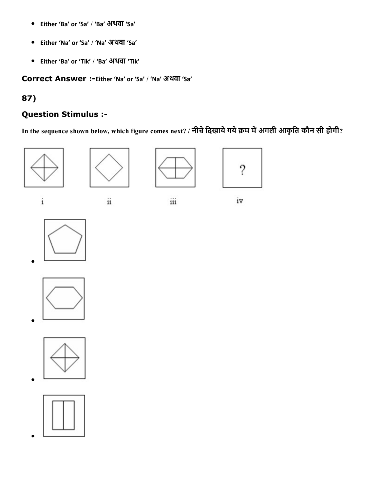- $\bullet$ Either 'Ba' or 'Sa' / 'Ba' अथवा 'Sa'
- Either 'Na' or 'Sa' / 'Na' अथवा 'Sa'
- Either 'Ba' or 'Tik' / 'Ba' अथवा 'Tik'

Correct Answer :-Either 'Na' or 'Sa' / 'Na' अथवा 'Sa'

## 87)

## Question Stimulus :

In the sequence shown below, which figure comes next? / नीचे दिखाये गये क्रम में अगली आकृति कौन सी होगी?





 $\ddot{\mathbf{11}}$ 



iii



iv

 $\rm i$ 









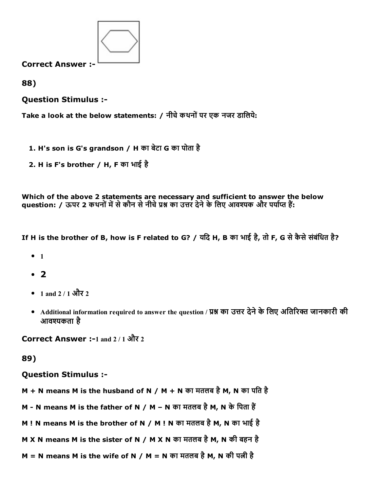

88)

Question Stimulus :

Take a look at the below statements: / नीचे कथनों पर एक नजर डालिये:

- 1. H's son is G's grandson / H का बेटा G का पोता है
- 2. H is F's brother / H, F का भाई है

Which of the above 2 statements are necessary and sufficient to answer the below question: / ऊपर 2 कथनों में से कौन से नीचे प्रश्न का उत्तर देने के लिए आवश्यक और पर्याप्त हैं:

If H is the brother of B, how is F related to G? / यिद H, B का भाई है, तो F, G सेकैसेसंबंिधत है?

- $1$
- $\cdot$  2
- 1 and 2 / 1 और 2
- Additional information required to answer the question / प्रश्न का उत्तर देने के लिए अतिरिक्त जानकारी की आवश्यकता है

Correct Answer :-1 and 2/1 और 2

89)

Question Stimulus :

- M + N means M is the husband of N / M + N का मतलब है M, N का पति है
- M N means M is the father of N / M N का मतलब है M, N के पिता हैं
- M ! N means M is the brother of N / M ! N का मतलब है M, N का भाई है
- M X N means M is the sister of N / M X N का मतलब है M, N की बहन है
- $M = N$  means M is the wife of N / M = N का मतलब है M, N की पत्नी है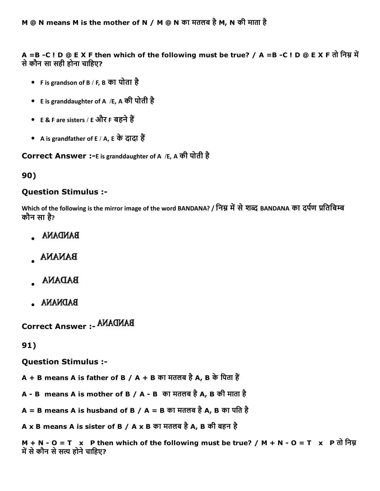A =B -C ! D @ E X F then which of the following must be true? / A =B -C ! D @ E X F तो निम्न में सेकौन सा सही होना चािहए?

- F is grandson of B / F, B का पोता है
- E is granddaughter of A /E, A की पोती है
- E & F are sisters / E और F बहने हैं
- A is grandfather of E / A, E के दादा हैं

Correct Answer :-E is granddaughter of A /E, A की पोती है

### 90)

### Question Stimulus :

Which of the following is the mirror image of the word BANDANA? / निम्न में से शब्द BANDANA का दर्पण प्रतिबिम्ब कौन सा है?

- **BANDANA**
- **BANANA**
- **BADANA**
- **BADNANA**

Correct Answer :

91)

Question Stimulus :

 $A + B$  means A is father of B / A + B का मतलब है A, B के पिता हैं

- A B means A is mother of B / A B का मतलब है A, B की माता है
- A = B means A is husband of B / A = B का मतलब है A, B का पति है
- <code>Ax B</code> means <code>A</code> is sister of B / A x B का मतलब है A, B की बहन है

 $M + N - O = T$  x P then which of the following must be true? / M + N - O = T x P तो निम्न में से कौन से सत्य होने चाहिए?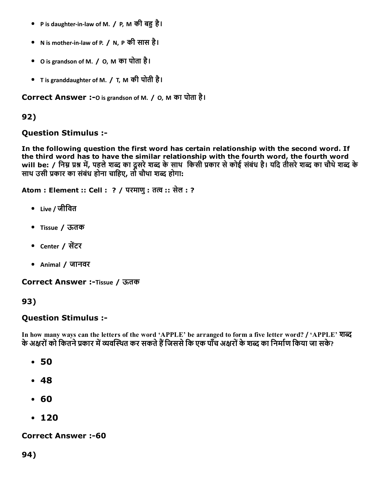- P is daughter-in-law of M. / P, M की बहु है।
- N is mother‐in‐law of P. / N, P की सास है।
- O is grandson of M. / O, M का पोता है।
- T is granddaughter of M. / T, M की पोती है।

Correct Answer :-0 is grandson of M. / 0, M का पोता है।

#### 92)

#### Question Stimulus :

In the following question the first word has certain relationship with the second word. If the third word has to have the similar relationship with the fourth word, the fourth word will be: / निम्न प्रश्न में, पहले शब्द का दूसरे शब्द के साथ किसी प्रकार से कोई संबंध है। यदि तीसरे शब्द का चौथे शब्द के साथ उसी प्रकार का संबंध होना चाहिए, तो चौथा शब्द होगा:

Atom : Element :: Cell : ? / परमाणु : तत्व :: सेल : ?

- Live / जीिवत
- Tissue / ऊतक
- Center / सेंटर
- Animal / जानवर

Correct Answer :-Tissue / ऊतक

### 93)

### Question Stimulus :

In how many ways can the letters of the word 'APPLE' be arranged to form a five letter word? / 'APPLE' शब्द के अक्षरों को कितने प्रकार में व्यवस्थित कर सकते हैं जिससे कि एक पाँच अक्षरों के शब्द का निर्माण किया जा सके?

- 50
- 48
- 60
- $-120$

#### **Correct Answer :-60**

### 94)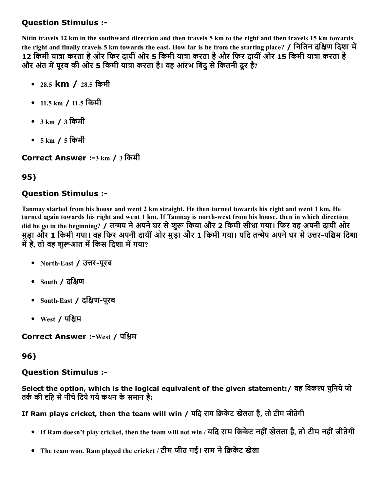### Question Stimulus :

Nitin travels 12 km in the southward direction and then travels 5 km to the right and then travels 15 km towards the right and finally travels 5 km towards the east. How far is he from the starting place? / नितिन दक्षिण दिशा में 12 किमी यात्रा करता है और फिर दायीं ओर 5 किमी यात्रा करता है और फिर दायीं ओर 15 किमी यात्रा करता है और अंत में परब की ओर 5 किमी यात्रा करता है। वह आंरभ बिंद से कितनी दूर है?

- 28.5 km / 28.5 किमी
- 11.5 km / 11.5 किमी
- 3 km / 3 िकमी
- 5 km / 5 िकमी

Correct Answer :-3 km / 3 किमी

# 95)

## Question Stimulus :

Tanmay started from his house and went 2 km straight. He then turned towards his right and went 1 km. He turned again towards his right and went 1 km. If Tanmay is north-west from his house, then in which direction did he go in the beginning? / तन्मय ने अपने घर से शुरू किया और 2 किमी सीधा गया। फिर वह अपनी दायीं ओर मुड़ा और 1 किमी गया। वह फिर अपनी दायीं ओर मुड़ा और 1 किमी गया। यदि तन्मेय अपने घर से उत्तर-पश्चिम दिशा में है, तो वह शरूआत में किस दिशा में गया?

- North-East / उत्तर-पुरब
- $\bullet$  South / दक्षिण
- South-East / दक्षिण-पुरब
- $West / T$ क्षिम

Correct Answer :-West / पश्चिम

### 96)

# Question Stimulus :

Select the option, which is the logical equivalent of the given statement: / वह विकल्प चुनिये जो तर्क की दृष्टि से नीचे दिये गये कथन के समान है:

If Ram plays cricket, then the team will win / यदि राम क्रिकेट खेलता है, तो टीम जीतेगी

- If Ram doesn't play cricket, then the team will not win / यदि राम क्रिकेट नहीं खेलता है, तो टीम नहीं जीतेगी
- The team won. Ram played the cricket / टीम जीत गई। राम ने क्रिकेट खेला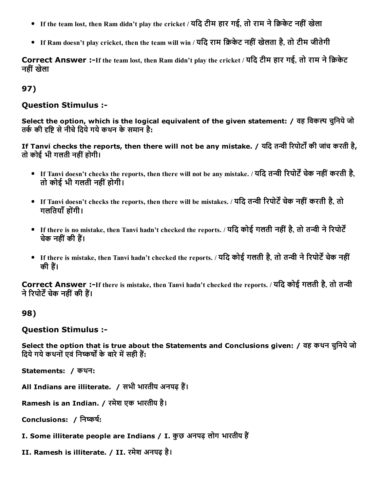- If the team lost, then Ram didn't play the cricket / यदि टीम हार गई, तो राम ने क्रिकेट नहीं खेला
- If Ram doesn't play cricket, then the team will win / यदि राम क्रिकेट नहीं खेलता है, तो टीम जीतेगी

Correct Answer :-If the team lost, then Ram didn't play the cricket / यदि टीम हार गई, तो राम ने क्रिकेट नहीं खेला

### 97)

#### Question Stimulus :

Select the option, which is the logical equivalent of the given statement: / वह विकल्प चनिये जो तर्क की दृष्टि से नीचे दिये गये कथन के समान है:

If Tanvi checks the reports, then there will not be any mistake. / यदि तन्वी रिपोर्टों की जांच करती है, तो कोई भी गलती नहींहोगी।

- If Tanvi doesn't checks the reports, then there will not be any mistake. / यदि तन्वी रिपोर्टें चेक नहीं करती है, तो कोई भी गलती नहींहोगी।
- If Tanvi doesn't checks the reports, then there will be mistakes. / यदि तन्वी रिपोर्टें चेक नहीं करती है, तो गलितयाँहोगंी।
- If there is no mistake, then Tanvi hadn't checked the reports. / यदि कोई गलती नहीं है, तो तन्वी ने रिपोर्टें चेक नहीं की हैं।
- If there is mistake, then Tanvi hadn't checked the reports. / यदि कोई गलती है, तो तन्वी ने रिपोर्टें चेक नहीं की हैं।

Correct Answer :-If there is mistake, then Tanvi hadn't checked the reports. / यदि कोई गलती है, तो तन्वी ने रिपोर्टें चेक नहीं की हैं।

### 98)

### Question Stimulus :

Select the option that is true about the Statements and Conclusions given: / वह कथन चुनिये जो दिये गये कथनों एवं निष्कर्षों के बारे में सही हैं:

Statements: / कथन:

All Indians are illiterate. / सभी भारतीय अनपढ़ हैं।

Ramesh is an Indian. / रमेश एक भारतीय है।

Conclusions: / निष्कर्ष:

- I. Some illiterate people are Indians / I. कुछ अनपढ़ लोग भारतीय हैं
- II. Ramesh is illiterate. / II. रमेश अनपढ़ है।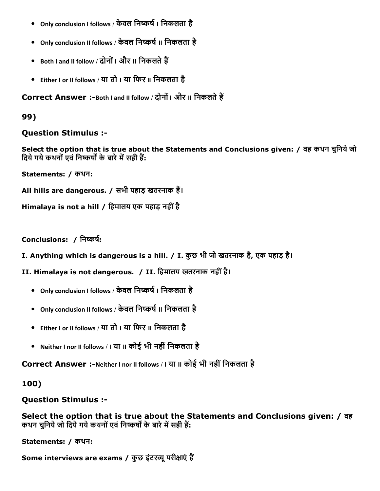- Only conclusion I follows / केवल निष्कर्ष । निकलता है
- Only conclusion II follows / केवल निष्कर्ष II निकलता है
- Both I and II follow / दोनों | और II निकलते हैं
- Either I or II follows / या तो I या िफर II िनकलता है

Correct Answer :-Both I and II follow / दोनों I और II निकलते हैं

### 99)

### Question Stimulus :

Select the option that is true about the Statements and Conclusions given: / वह कथन चुिनयेजो दिये गये कथनों एवं निष्कर्षों के बारे में सही हैं:

Statements: / कथन:

All hills are dangerous. / सभी पहाड़ खतरनाक हैं।

```
Himalaya is not a hill / हिमालय एक पहाड़ नहीं है
```
Conclusions: / निष्कर्ष:

I. Anything which is dangerous is a hill. / I. कुछ भी जो खतरनाक है, एक पहाड़ है।

II. Himalaya is not dangerous. / II. िहमालय खतरनाक नहींहै।

- Only conclusion I follows / केवल निष्कर्ष । निकलता है
- Only conclusion II follows / केवल निष्कर्ष II निकलता है
- Either I or II follows / या तो I या िफर II िनकलता है
- Neither I nor II follows / I या II कोई भी नहीं निकलता है

Correct Answer :-Neither I nor II follows / I या II कोई भी नहीं निकलता है

### 100)

Question Stimulus :

Select the option that is true about the Statements and Conclusions given: / वह कथन चुनिये जो दिये गये कथनों एवं निष्कर्षों के बारे में सही हैं:

Statements: / कथन:

Some interviews are exams / कुछ इंटरव्यू परीक्षाएं हैं